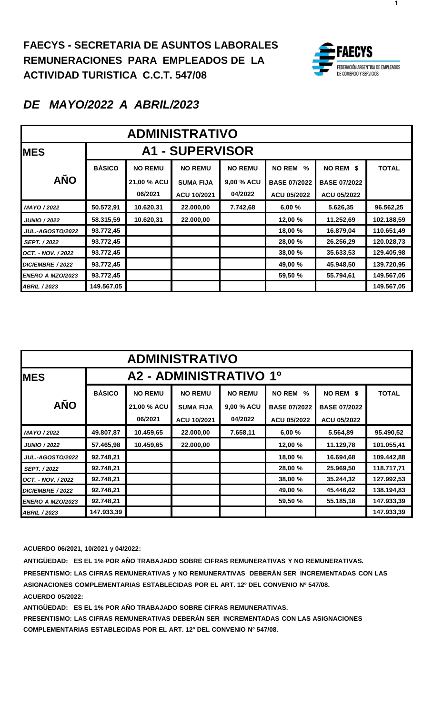

1

### *DE MAYO/2022 A ABRIL/2023*

| <b>ADMINISTRATIVO</b>   |               |                        |                  |                |                     |                     |              |  |  |
|-------------------------|---------------|------------------------|------------------|----------------|---------------------|---------------------|--------------|--|--|
| <b>IMES</b>             |               | <b>A1 - SUPERVISOR</b> |                  |                |                     |                     |              |  |  |
|                         | <b>BÁSICO</b> | <b>NO REMU</b>         | <b>NO REMU</b>   | <b>NO REMU</b> | <b>NO REM</b><br>%  | NO REM \$           | <b>TOTAL</b> |  |  |
| <b>AÑO</b>              |               | 21,00 % ACU            | <b>SUMA FIJA</b> | 9,00 % ACU     | <b>BASE 07/2022</b> | <b>BASE 07/2022</b> |              |  |  |
|                         |               | 06/2021                | ACU 10/2021      | 04/2022        | ACU 05/2022         | ACU 05/2022         |              |  |  |
| MAYO / 2022             | 50.572,91     | 10.620,31              | 22.000,00        | 7.742,68       | 6,00%               | 5.626,35            | 96.562,25    |  |  |
| <b>JUNIO / 2022</b>     | 58.315,59     | 10.620,31              | 22.000,00        |                | 12,00 %             | 11.252,69           | 102.188,59   |  |  |
| <b>JUL.-AGOSTO/2022</b> | 93.772,45     |                        |                  |                | 18,00 %             | 16.879,04           | 110.651,49   |  |  |
| <b>SEPT. / 2022</b>     | 93.772,45     |                        |                  |                | 28,00 %             | 26.256,29           | 120.028,73   |  |  |
| OCT. - NOV. / 2022      | 93.772,45     |                        |                  |                | 38,00 %             | 35.633,53           | 129.405,98   |  |  |
| DICIEMBRE / 2022        | 93.772,45     |                        |                  |                | 49,00 %             | 45.948,50           | 139.720,95   |  |  |
| <b>ENERO A MZO/2023</b> | 93.772,45     |                        |                  |                | 59,50 %             | 55.794,61           | 149.567,05   |  |  |
| <b>ABRIL / 2023</b>     | 149.567,05    |                        |                  |                |                     |                     | 149.567,05   |  |  |

| <b>ADMINISTRATIVO</b>   |               |                        |                                 |                       |                                           |                                    |              |  |  |
|-------------------------|---------------|------------------------|---------------------------------|-----------------------|-------------------------------------------|------------------------------------|--------------|--|--|
| <b>MES</b>              |               |                        | A2 - ADMINISTRATIVO 1º          |                       |                                           |                                    |              |  |  |
| <b>AÑO</b>              | <b>BÁSICO</b> | <b>NO REMU</b>         | <b>NO REMU</b>                  | <b>NO REMU</b>        | <b>NO REM</b><br>%                        | NO REM \$                          | <b>TOTAL</b> |  |  |
|                         |               | 21,00 % ACU<br>06/2021 | <b>SUMA FIJA</b><br>ACU 10/2021 | 9,00 % ACU<br>04/2022 | <b>BASE 07/2022</b><br><b>ACU 05/2022</b> | <b>BASE 07/2022</b><br>ACU 05/2022 |              |  |  |
| MAYO / 2022             | 49.807,87     | 10.459,65              | 22.000,00                       | 7.658,11              | 6,00 %                                    | 5.564,89                           | 95.490,52    |  |  |
| <b>JUNIO / 2022</b>     | 57.465,98     | 10.459,65              | 22.000,00                       |                       | 12,00 %                                   | 11.129,78                          | 101.055,41   |  |  |
| <b>JUL.-AGOSTO/2022</b> | 92.748,21     |                        |                                 |                       | 18,00 %                                   | 16.694,68                          | 109.442,88   |  |  |
| <b>SEPT. / 2022</b>     | 92.748,21     |                        |                                 |                       | 28,00 %                                   | 25.969,50                          | 118.717,71   |  |  |
| OCT. - NOV. / 2022      | 92.748,21     |                        |                                 |                       | 38,00 %                                   | 35.244,32                          | 127.992,53   |  |  |
| DICIEMBRE / 2022        | 92.748,21     |                        |                                 |                       | 49,00 %                                   | 45.446,62                          | 138.194,83   |  |  |
| <b>ENERO A MZO/2023</b> | 92.748,21     |                        |                                 |                       | 59,50 %                                   | 55.185,18                          | 147.933,39   |  |  |
| <b>ABRIL / 2023</b>     | 147.933,39    |                        |                                 |                       |                                           |                                    | 147.933,39   |  |  |

**ACUERDO 06/2021, 10/2021 y 04/2022:**

**ANTIGÜEDAD: ES EL 1% POR AÑO TRABAJADO SOBRE CIFRAS REMUNERATIVAS Y NO REMUNERATIVAS. PRESENTISMO: LAS CIFRAS REMUNERATIVAS y NO REMUNERATIVAS DEBERÁN SER INCREMENTADAS CON LAS ASIGNACIONES COMPLEMENTARIAS ESTABLECIDAS POR EL ART. 12º DEL CONVENIO Nº 547/08. ACUERDO 05/2022:**

**ANTIGÜEDAD: ES EL 1% POR AÑO TRABAJADO SOBRE CIFRAS REMUNERATIVAS.**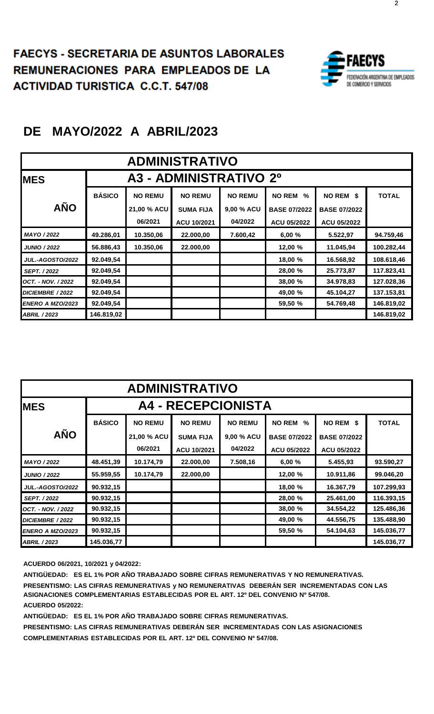

| <b>ADMINISTRATIVO</b>   |               |                |                        |                |                       |                     |              |  |  |
|-------------------------|---------------|----------------|------------------------|----------------|-----------------------|---------------------|--------------|--|--|
| <b>MES</b>              |               |                | A3 - ADMINISTRATIVO 2º |                |                       |                     |              |  |  |
|                         | <b>BÁSICO</b> | <b>NO REMU</b> | <b>NO REMU</b>         | <b>NO REMU</b> | <b>NO REM</b><br>$\%$ | NO REM \$           | <b>TOTAL</b> |  |  |
| <b>AÑO</b>              |               | 21,00 % ACU    | <b>SUMA FIJA</b>       | 9,00 % ACU     | <b>BASE 07/2022</b>   | <b>BASE 07/2022</b> |              |  |  |
|                         |               | 06/2021        | ACU 10/2021            | 04/2022        | <b>ACU 05/2022</b>    | <b>ACU 05/2022</b>  |              |  |  |
| MAYO / 2022             | 49.286,01     | 10.350,06      | 22.000,00              | 7.600,42       | 6,00%                 | 5.522,97            | 94.759,46    |  |  |
| <b>JUNIO / 2022</b>     | 56.886,43     | 10.350,06      | 22.000,00              |                | 12,00 %               | 11.045,94           | 100.282,44   |  |  |
| <b>JUL.-AGOSTO/2022</b> | 92.049,54     |                |                        |                | 18,00 %               | 16.568,92           | 108.618,46   |  |  |
| <b>SEPT. / 2022</b>     | 92.049,54     |                |                        |                | 28,00 %               | 25.773,87           | 117.823,41   |  |  |
| OCT. - NOV. / 2022      | 92.049,54     |                |                        |                | 38,00 %               | 34.978,83           | 127.028,36   |  |  |
| DICIEMBRE / 2022        | 92.049,54     |                |                        |                | 49,00 %               | 45.104,27           | 137.153,81   |  |  |
| ENERO A MZO/2023        | 92.049,54     |                |                        |                | 59,50 %               | 54.769,48           | 146.819,02   |  |  |
| <b>ABRIL / 2023</b>     | 146.819,02    |                |                        |                |                       |                     | 146.819,02   |  |  |

| <b>ADMINISTRATIVO</b>   |               |                                    |                           |                |                       |                     |              |  |  |  |
|-------------------------|---------------|------------------------------------|---------------------------|----------------|-----------------------|---------------------|--------------|--|--|--|
| <b>IMES</b>             |               |                                    | <b>A4 - RECEPCIONISTA</b> |                |                       |                     |              |  |  |  |
|                         | <b>BÁSICO</b> | <b>NO REMU</b>                     | <b>NO REMU</b>            | <b>NO REMU</b> | <b>NO REM</b><br>$\%$ | NO REM \$           | <b>TOTAL</b> |  |  |  |
| <b>AÑO</b>              |               | 21,00 % ACU                        | <b>SUMA FIJA</b>          | 9,00 % ACU     | <b>BASE 07/2022</b>   | <b>BASE 07/2022</b> |              |  |  |  |
|                         |               | 06/2021                            | ACU 10/2021               | 04/2022        | <b>ACU 05/2022</b>    | <b>ACU 05/2022</b>  |              |  |  |  |
| MAYO / 2022             | 48.451,39     | 10.174,79                          | 22.000,00                 | 7.508,16       | 6,00%                 | 5.455,93            | 93.590,27    |  |  |  |
| <b>JUNIO / 2022</b>     | 55.959,55     | 10.174,79                          | 22.000,00                 |                | 12,00 %               | 10.911,86           | 99.046,20    |  |  |  |
| <b>JUL.-AGOSTO/2022</b> | 90.932,15     |                                    |                           |                | 18,00 %               | 16.367,79           | 107.299,93   |  |  |  |
| <b>SEPT. / 2022</b>     | 90.932,15     |                                    |                           |                | 28,00 %               | 25.461,00           | 116.393,15   |  |  |  |
| OCT. - NOV. / 2022      | 90.932,15     |                                    |                           |                | 38,00 %               | 34.554,22           | 125.486,36   |  |  |  |
| DICIEMBRE / 2022        | 90.932,15     |                                    |                           |                | 49,00 %               | 44.556,75           | 135.488,90   |  |  |  |
| <b>ENERO A MZO/2023</b> | 90.932,15     | 59,50 %<br>54.104,63<br>145.036,77 |                           |                |                       |                     |              |  |  |  |
| <b>ABRIL / 2023</b>     | 145.036,77    |                                    |                           |                |                       |                     | 145.036,77   |  |  |  |

**ACUERDO 06/2021, 10/2021 y 04/2022:**

**ANTIGÜEDAD: ES EL 1% POR AÑO TRABAJADO SOBRE CIFRAS REMUNERATIVAS Y NO REMUNERATIVAS. PRESENTISMO: LAS CIFRAS REMUNERATIVAS y NO REMUNERATIVAS DEBERÁN SER INCREMENTADAS CON LAS ASIGNACIONES COMPLEMENTARIAS ESTABLECIDAS POR EL ART. 12º DEL CONVENIO Nº 547/08. ACUERDO 05/2022:**

**ANTIGÜEDAD: ES EL 1% POR AÑO TRABAJADO SOBRE CIFRAS REMUNERATIVAS.**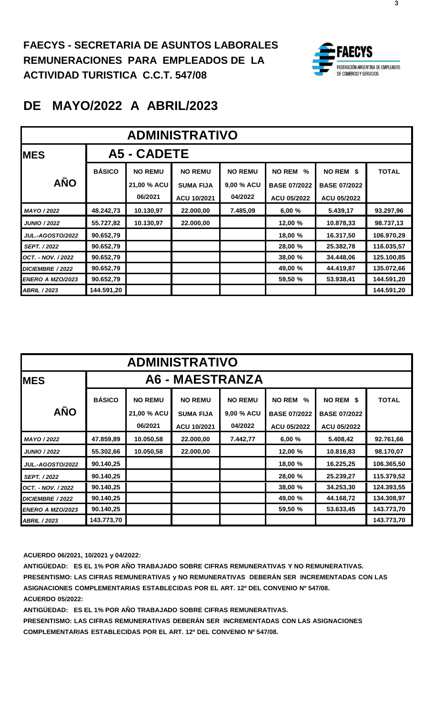

## **DE MAYO/2022 A ABRIL/2023**

| <b>ADMINISTRATIVO</b>   |                    |                |                  |                |                       |                     |              |  |  |  |
|-------------------------|--------------------|----------------|------------------|----------------|-----------------------|---------------------|--------------|--|--|--|
| <b>IMES</b>             | <b>A5 - CADETE</b> |                |                  |                |                       |                     |              |  |  |  |
|                         | <b>BÁSICO</b>      | <b>NO REMU</b> | <b>NO REMU</b>   | <b>NO REMU</b> | <b>NO REM</b><br>$\%$ | NO REM \$           | <b>TOTAL</b> |  |  |  |
| <b>AÑO</b>              |                    | 21,00 % ACU    | <b>SUMA FIJA</b> | 9,00 % ACU     | <b>BASE 07/2022</b>   | <b>BASE 07/2022</b> |              |  |  |  |
|                         |                    | 06/2021        | ACU 10/2021      | 04/2022        | ACU 05/2022           | <b>ACU 05/2022</b>  |              |  |  |  |
| MAYO / 2022             | 48.242,73          | 10.130,97      | 22.000,00        | 7.485,09       | 6,00%                 | 5.439,17            | 93.297,96    |  |  |  |
| <b>JUNIO / 2022</b>     | 55.727,82          | 10.130,97      | 22.000,00        |                | 12,00 %               | 10.878,33           | 98.737,13    |  |  |  |
| <b>JUL.-AGOSTO/2022</b> | 90.652,79          |                |                  |                | 18,00 %               | 16.317,50           | 106.970,29   |  |  |  |
| <b>SEPT. / 2022</b>     | 90.652,79          |                |                  |                | 28,00 %               | 25.382,78           | 116.035,57   |  |  |  |
| OCT. - NOV. / 2022      | 90.652,79          |                |                  |                | 38,00 %               | 34.448,06           | 125.100,85   |  |  |  |
| DICIEMBRE / 2022        | 90.652,79          |                |                  |                | 49,00 %               | 44.419,87           | 135.072,66   |  |  |  |
| <b>ENERO A MZO/2023</b> | 90.652,79          |                |                  |                | 59,50 %               | 53.938,41           | 144.591,20   |  |  |  |
| <b>ABRIL / 2023</b>     | 144.591,20         |                |                  |                |                       |                     | 144.591,20   |  |  |  |

| <b>ADMINISTRATIVO</b>   |               |                               |                                    |                              |                                              |                                  |              |  |  |
|-------------------------|---------------|-------------------------------|------------------------------------|------------------------------|----------------------------------------------|----------------------------------|--------------|--|--|
| <b>IMES</b>             |               |                               | A6 - MAESTRANZA                    |                              |                                              |                                  |              |  |  |
| <b>AÑO</b>              | <b>BÁSICO</b> | <b>NO REMU</b><br>21,00 % ACU | <b>NO REMU</b><br><b>SUMA FIJA</b> | <b>NO REMU</b><br>9,00 % ACU | <b>NO REM</b><br>$\%$<br><b>BASE 07/2022</b> | NO REM \$<br><b>BASE 07/2022</b> | <b>TOTAL</b> |  |  |
|                         |               | 06/2021                       | ACU 10/2021                        | 04/2022                      | <b>ACU 05/2022</b>                           | <b>ACU 05/2022</b>               |              |  |  |
| MAYO / 2022             | 47.859,89     | 10.050,58                     | 22.000,00                          | 7.442,77                     | 6,00%                                        | 5.408,42                         | 92.761,66    |  |  |
| <b>JUNIO / 2022</b>     | 55.302,66     | 10.050,58                     | 22.000,00                          |                              | 12,00 %                                      | 10.816,83                        | 98.170,07    |  |  |
| <b>JUL.-AGOSTO/2022</b> | 90.140,25     |                               |                                    |                              | 18,00 %                                      | 16.225,25                        | 106.365,50   |  |  |
| <b>SEPT. / 2022</b>     | 90.140,25     |                               |                                    |                              | 28,00 %                                      | 25.239,27                        | 115.379,52   |  |  |
| OCT. - NOV. / 2022      | 90.140,25     |                               |                                    |                              | 38,00 %                                      | 34.253,30                        | 124.393,55   |  |  |
| DICIEMBRE / 2022        | 90.140,25     |                               |                                    |                              | 49,00 %                                      | 44.168,72                        | 134.308,97   |  |  |
| ENERO A MZO/2023        | 90.140,25     |                               |                                    |                              | 59,50 %                                      | 53.633,45                        | 143.773.70   |  |  |
| <b>ABRIL / 2023</b>     | 143.773,70    |                               |                                    |                              |                                              |                                  | 143.773,70   |  |  |

**ACUERDO 06/2021, 10/2021 y 04/2022:**

**ANTIGÜEDAD: ES EL 1% POR AÑO TRABAJADO SOBRE CIFRAS REMUNERATIVAS Y NO REMUNERATIVAS. PRESENTISMO: LAS CIFRAS REMUNERATIVAS y NO REMUNERATIVAS DEBERÁN SER INCREMENTADAS CON LAS ASIGNACIONES COMPLEMENTARIAS ESTABLECIDAS POR EL ART. 12º DEL CONVENIO Nº 547/08. ACUERDO 05/2022:**

**ANTIGÜEDAD: ES EL 1% POR AÑO TRABAJADO SOBRE CIFRAS REMUNERATIVAS.**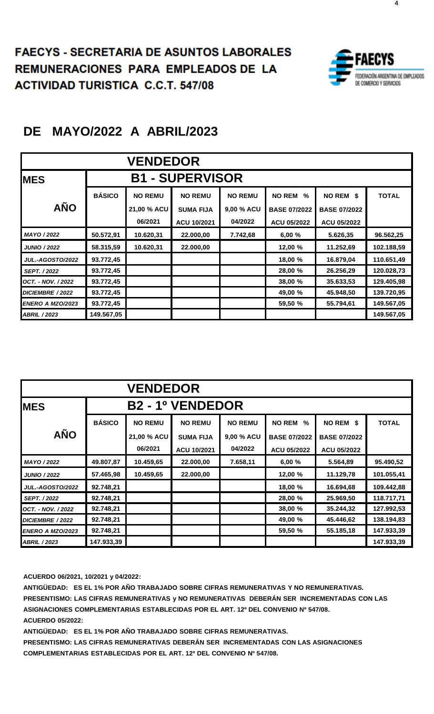#### **FAECYS - SECRETARIA DE ASUNTOS LABORALES REMUNERACIONES PARA EMPLEADOS DE LA EMUNERACIONES PARA EMPLEADOS DE LA ACTIVIDAD TURISTICA C.C.T. 547/08**



## **DE MAYO/2022 A ABRIL/2023**

| <b>VENDEDOR</b>         |               |                |                        |                |                       |                     |              |  |
|-------------------------|---------------|----------------|------------------------|----------------|-----------------------|---------------------|--------------|--|
| <b>MES</b>              |               |                | <b>B1 - SUPERVISOR</b> |                |                       |                     |              |  |
|                         | <b>BÁSICO</b> | <b>NO REMU</b> | <b>NO REMU</b>         | <b>NO REMU</b> | <b>NO REM</b><br>$\%$ | NO REM \$           | <b>TOTAL</b> |  |
| <b>AÑO</b>              |               | 21,00 % ACU    | <b>SUMA FIJA</b>       | 9,00 % ACU     | <b>BASE 07/2022</b>   | <b>BASE 07/2022</b> |              |  |
|                         |               | 06/2021        | ACU 10/2021            | 04/2022        | <b>ACU 05/2022</b>    | <b>ACU 05/2022</b>  |              |  |
| MAYO / 2022             | 50.572,91     | 10.620,31      | 22.000,00              | 7.742,68       | 6,00%                 | 5.626,35            | 96.562,25    |  |
| <b>JUNIO / 2022</b>     | 58.315,59     | 10.620,31      | 22.000,00              |                | 12,00 %               | 11.252,69           | 102.188,59   |  |
| <b>JUL.-AGOSTO/2022</b> | 93.772,45     |                |                        |                | 18,00 %               | 16.879,04           | 110.651,49   |  |
| <b>SEPT. / 2022</b>     | 93.772,45     |                |                        |                | 28,00 %               | 26.256,29           | 120.028,73   |  |
| OCT. - NOV. / 2022      | 93.772,45     |                |                        |                | 38,00 %               | 35.633,53           | 129.405,98   |  |
| DICIEMBRE / 2022        | 93.772,45     |                |                        |                | 49,00 %               | 45.948,50           | 139.720,95   |  |
| <b>ENERO A MZO/2023</b> | 93.772,45     |                |                        |                | 59,50 %               | 55.794,61           | 149.567,05   |  |
| <b>ABRIL / 2023</b>     | 149.567,05    |                |                        |                |                       |                     | 149.567,05   |  |

| <b>VENDEDOR</b>         |               |                |                         |                |                     |                     |              |  |  |
|-------------------------|---------------|----------------|-------------------------|----------------|---------------------|---------------------|--------------|--|--|
| <b>MES</b>              |               |                | <b>B2 - 1º VENDEDOR</b> |                |                     |                     |              |  |  |
|                         | <b>BÁSICO</b> | <b>NO REMU</b> | <b>NO REMU</b>          | <b>NO REMU</b> | <b>NO REM</b><br>%  | NO REM \$           | <b>TOTAL</b> |  |  |
| <b>AÑO</b>              |               | 21,00 % ACU    | <b>SUMA FIJA</b>        | 9,00 % ACU     | <b>BASE 07/2022</b> | <b>BASE 07/2022</b> |              |  |  |
|                         |               | 06/2021        | ACU 10/2021             | 04/2022        | <b>ACU 05/2022</b>  | ACU 05/2022         |              |  |  |
| MAYO / 2022             | 49.807,87     | 10.459,65      | 22.000,00               | 7.658,11       | 6,00%               | 5.564,89            | 95.490,52    |  |  |
| <b>JUNIO / 2022</b>     | 57.465,98     | 10.459,65      | 22.000,00               |                | 12,00 %             | 11.129,78           | 101.055,41   |  |  |
| <b>JUL.-AGOSTO/2022</b> | 92.748,21     |                |                         |                | 18,00 %             | 16.694,68           | 109.442,88   |  |  |
| SEPT. / 2022            | 92.748,21     |                |                         |                | 28,00 %             | 25.969,50           | 118.717,71   |  |  |
| OCT. - NOV. / 2022      | 92.748,21     |                |                         |                | 38,00 %             | 35.244,32           | 127.992,53   |  |  |
| DICIEMBRE / 2022        | 92.748,21     |                |                         |                | 49,00 %             | 45.446,62           | 138.194,83   |  |  |
| <b>ENERO A MZO/2023</b> | 92.748,21     |                |                         |                | 59,50 %             | 55.185,18           | 147.933,39   |  |  |
| <b>ABRIL / 2023</b>     | 147.933,39    |                |                         |                |                     |                     | 147.933.39   |  |  |

**ACUERDO 06/2021, 10/2021 y 04/2022:**

**ANTIGÜEDAD: ES EL 1% POR AÑO TRABAJADO SOBRE CIFRAS REMUNERATIVAS Y NO REMUNERATIVAS. PRESENTISMO: LAS CIFRAS REMUNERATIVAS y NO REMUNERATIVAS DEBERÁN SER INCREMENTADAS CON LAS ASIGNACIONES COMPLEMENTARIAS ESTABLECIDAS POR EL ART. 12º DEL CONVENIO Nº 547/08. ACUERDO 05/2022:**

**ANTIGÜEDAD: ES EL 1% POR AÑO TRABAJADO SOBRE CIFRAS REMUNERATIVAS.**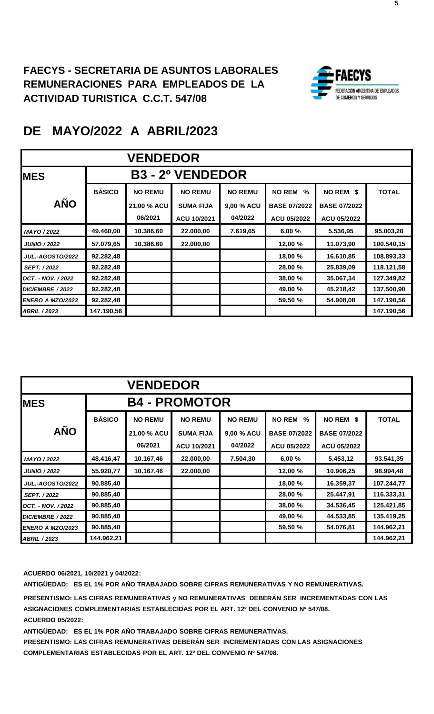

|                         | <b>VENDEDOR</b> |                |                         |                |                       |                     |              |  |  |  |
|-------------------------|-----------------|----------------|-------------------------|----------------|-----------------------|---------------------|--------------|--|--|--|
| <b>IMES</b>             |                 |                | <b>B3 - 2º VENDEDOR</b> |                |                       |                     |              |  |  |  |
|                         | <b>BÁSICO</b>   | <b>NO REMU</b> | <b>NO REMU</b>          | <b>NO REMU</b> | <b>NO REM</b><br>$\%$ | NO REM \$           | <b>TOTAL</b> |  |  |  |
| <b>AÑO</b>              |                 | 21,00 % ACU    | <b>SUMA FIJA</b>        | 9,00 % ACU     | <b>BASE 07/2022</b>   | <b>BASE 07/2022</b> |              |  |  |  |
|                         |                 | 06/2021        | ACU 10/2021             | 04/2022        | <b>ACU 05/2022</b>    | <b>ACU 05/2022</b>  |              |  |  |  |
| MAYO / 2022             | 49.460,00       | 10.386,60      | 22.000,00               | 7.619,65       | 6,00%                 | 5.536,95            | 95.003,20    |  |  |  |
| <b>JUNIO / 2022</b>     | 57.079,65       | 10.386,60      | 22.000,00               |                | 12,00 %               | 11.073,90           | 100.540,15   |  |  |  |
| <b>JUL.-AGOSTO/2022</b> | 92.282,48       |                |                         |                | 18,00 %               | 16.610,85           | 108.893,33   |  |  |  |
| <b>SEPT. / 2022</b>     | 92.282,48       |                |                         |                | 28,00 %               | 25.839,09           | 118.121,58   |  |  |  |
| OCT. - NOV. / 2022      | 92.282,48       |                |                         |                | 38,00 %               | 35.067,34           | 127.349,82   |  |  |  |
| DICIEMBRE / 2022        | 92.282,48       |                |                         |                | 49,00 %               | 45.218,42           | 137.500,90   |  |  |  |
| ENERO A MZO/2023        | 92.282,48       |                |                         |                | 59,50 %               | 54.908,08           | 147.190,56   |  |  |  |
| <b>ABRIL / 2023</b>     | 147.190,56      |                |                         |                |                       |                     | 147.190,56   |  |  |  |

| <b>VENDEDOR</b>         |               |                |                      |                |                       |                     |              |  |  |
|-------------------------|---------------|----------------|----------------------|----------------|-----------------------|---------------------|--------------|--|--|
| <b>IMES</b>             |               |                | <b>B4 - PROMOTOR</b> |                |                       |                     |              |  |  |
|                         | <b>BÁSICO</b> | <b>NO REMU</b> | <b>NO REMU</b>       | <b>NO REMU</b> | <b>NO REM</b><br>$\%$ | NO REM \$           | <b>TOTAL</b> |  |  |
| <b>AÑO</b>              |               | 21,00 % ACU    | <b>SUMA FIJA</b>     | 9,00 % ACU     | <b>BASE 07/2022</b>   | <b>BASE 07/2022</b> |              |  |  |
|                         |               | 06/2021        | ACU 10/2021          | 04/2022        | ACU 05/2022           | ACU 05/2022         |              |  |  |
| MAYO / 2022             | 48.416,47     | 10.167,46      | 22.000,00            | 7.504,30       | 6,00%                 | 5.453,12            | 93.541,35    |  |  |
| <b>JUNIO / 2022</b>     | 55.920,77     | 10.167,46      | 22.000,00            |                | 12,00 %               | 10.906,25           | 98.994,48    |  |  |
| <b>JUL.-AGOSTO/2022</b> | 90.885,40     |                |                      |                | 18,00 %               | 16.359,37           | 107.244,77   |  |  |
| <b>SEPT. / 2022</b>     | 90.885,40     |                |                      |                | 28,00 %               | 25.447,91           | 116.333,31   |  |  |
| OCT. - NOV. / 2022      | 90.885,40     |                |                      |                | 38,00 %               | 34.536,45           | 125.421,85   |  |  |
| DICIEMBRE / 2022        | 90.885,40     |                |                      |                | 49,00 %               | 44.533,85           | 135.419,25   |  |  |
| <b>ENERO A MZO/2023</b> | 90.885,40     |                |                      |                | 59,50 %               | 54.076,81           | 144.962,21   |  |  |
| <b>ABRIL / 2023</b>     | 144.962,21    |                |                      |                |                       |                     | 144.962,21   |  |  |

**ACUERDO 06/2021, 10/2021 y 04/2022:**

**ANTIGÜEDAD: ES EL 1% POR AÑO TRABAJADO SOBRE CIFRAS REMUNERATIVAS Y NO REMUNERATIVAS.**

**PRESENTISMO: LAS CIFRAS REMUNERATIVAS y NO REMUNERATIVAS DEBERÁN SER INCREMENTADAS CON LAS ASIGNACIONES COMPLEMENTARIAS ESTABLECIDAS POR EL ART. 12º DEL CONVENIO Nº 547/08. ACUERDO 05/2022:**

**ANTIGÜEDAD: ES EL 1% POR AÑO TRABAJADO SOBRE CIFRAS REMUNERATIVAS.**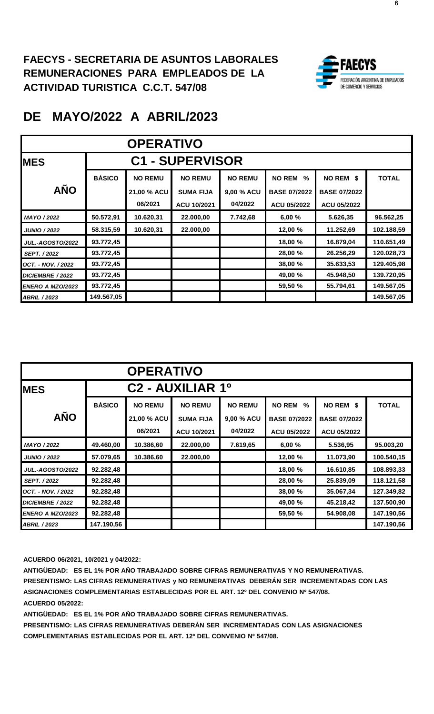

| <b>OPERATIVO</b>        |               |                               |                                    |                              |                                           |                                  |              |  |  |
|-------------------------|---------------|-------------------------------|------------------------------------|------------------------------|-------------------------------------------|----------------------------------|--------------|--|--|
| <b>IMES</b>             |               |                               | <b>C1 - SUPERVISOR</b>             |                              |                                           |                                  |              |  |  |
| <b>AÑO</b>              | <b>BÁSICO</b> | <b>NO REMU</b><br>21,00 % ACU | <b>NO REMU</b><br><b>SUMA FIJA</b> | <b>NO REMU</b><br>9,00 % ACU | <b>NO REM</b><br>%<br><b>BASE 07/2022</b> | NO REM \$<br><b>BASE 07/2022</b> | <b>TOTAL</b> |  |  |
|                         |               | 06/2021                       | ACU 10/2021                        | 04/2022                      | ACU 05/2022                               | <b>ACU 05/2022</b>               |              |  |  |
| MAYO / 2022             | 50.572,91     | 10.620,31                     | 22.000,00                          | 7.742,68                     | 6,00%                                     | 5.626,35                         | 96.562,25    |  |  |
| <b>JUNIO / 2022</b>     | 58.315,59     | 10.620,31                     | 22.000,00                          |                              | 12,00 %                                   | 11.252,69                        | 102.188,59   |  |  |
| <b>JUL.-AGOSTO/2022</b> | 93.772,45     |                               |                                    |                              | 18,00 %                                   | 16.879,04                        | 110.651,49   |  |  |
| <b>SEPT. / 2022</b>     | 93.772,45     |                               |                                    |                              | 28,00 %                                   | 26.256,29                        | 120.028,73   |  |  |
| OCT. - NOV. / 2022      | 93.772,45     |                               |                                    |                              | 38,00 %                                   | 35.633,53                        | 129.405,98   |  |  |
| <b>DICIEMBRE / 2022</b> | 93.772,45     |                               |                                    |                              | 49,00 %                                   | 45.948,50                        | 139.720,95   |  |  |
| <b>ENERO A MZO/2023</b> | 93.772,45     |                               |                                    |                              | 59,50 %                                   | 55.794,61                        | 149.567,05   |  |  |
| <b>ABRIL / 2023</b>     | 149.567,05    |                               |                                    |                              |                                           |                                  | 149.567,05   |  |  |

|                         | <b>OPERATIVO</b> |                |                                          |                |                       |                     |              |  |  |
|-------------------------|------------------|----------------|------------------------------------------|----------------|-----------------------|---------------------|--------------|--|--|
| <b>MES</b>              |                  |                | C <sub>2</sub> - AUXILIAR 1 <sup>0</sup> |                |                       |                     |              |  |  |
|                         | <b>BÁSICO</b>    | <b>NO REMU</b> | <b>NO REMU</b>                           | <b>NO REMU</b> | <b>NO REM</b><br>$\%$ | NO REM \$           | <b>TOTAL</b> |  |  |
| <b>AÑO</b>              |                  | 21,00 % ACU    | <b>SUMA FIJA</b>                         | 9,00 % ACU     | <b>BASE 07/2022</b>   | <b>BASE 07/2022</b> |              |  |  |
|                         |                  | 06/2021        | ACU 10/2021                              | 04/2022        | ACU 05/2022           | ACU 05/2022         |              |  |  |
| MAYO / 2022             | 49.460,00        | 10.386,60      | 22.000,00                                | 7.619,65       | 6,00%                 | 5.536,95            | 95.003,20    |  |  |
| <b>JUNIO / 2022</b>     | 57.079.65        | 10.386,60      | 22.000,00                                |                | 12,00 %               | 11.073,90           | 100.540,15   |  |  |
| <b>JUL.-AGOSTO/2022</b> | 92.282,48        |                |                                          |                | 18,00 %               | 16.610,85           | 108.893,33   |  |  |
| <b>SEPT. / 2022</b>     | 92.282,48        |                |                                          |                | 28,00 %               | 25.839,09           | 118.121,58   |  |  |
| OCT. - NOV. / 2022      | 92.282,48        |                |                                          |                | 38,00 %               | 35.067,34           | 127.349,82   |  |  |
| DICIEMBRE / 2022        | 92.282,48        |                |                                          |                | 49,00 %               | 45.218,42           | 137.500,90   |  |  |
| ENERO A MZO/2023        | 92.282,48        |                |                                          |                | 59,50 %               | 54.908,08           | 147.190,56   |  |  |
| <b>ABRIL / 2023</b>     | 147.190,56       |                |                                          |                |                       |                     | 147.190,56   |  |  |

**ACUERDO 06/2021, 10/2021 y 04/2022:**

**ANTIGÜEDAD: ES EL 1% POR AÑO TRABAJADO SOBRE CIFRAS REMUNERATIVAS Y NO REMUNERATIVAS. PRESENTISMO: LAS CIFRAS REMUNERATIVAS y NO REMUNERATIVAS DEBERÁN SER INCREMENTADAS CON LAS ASIGNACIONES COMPLEMENTARIAS ESTABLECIDAS POR EL ART. 12º DEL CONVENIO Nº 547/08. ACUERDO 05/2022:**

**ANTIGÜEDAD: ES EL 1% POR AÑO TRABAJADO SOBRE CIFRAS REMUNERATIVAS.**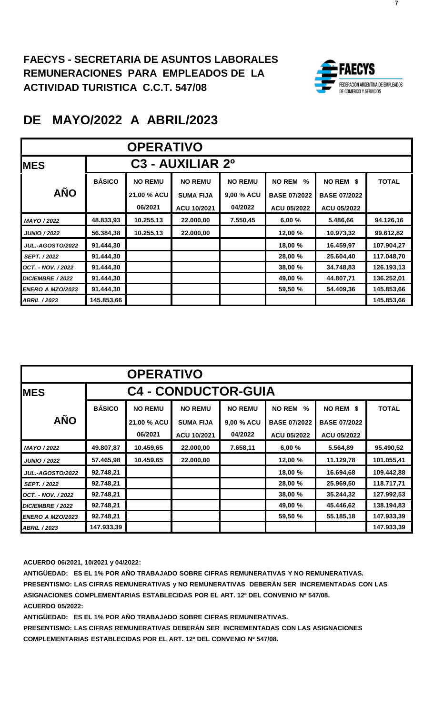

| <b>OPERATIVO</b>        |               |                |                                          |                |                     |                     |              |  |  |
|-------------------------|---------------|----------------|------------------------------------------|----------------|---------------------|---------------------|--------------|--|--|
| <b>MES</b>              |               |                | C <sub>3</sub> - AUXILIAR 2 <sup>0</sup> |                |                     |                     |              |  |  |
|                         | <b>BÁSICO</b> | <b>NO REMU</b> | <b>NO REMU</b>                           | <b>NO REMU</b> | <b>NO REM</b><br>%  | NO REM \$           | <b>TOTAL</b> |  |  |
| <b>AÑO</b>              |               | 21,00 % ACU    | <b>SUMA FIJA</b>                         | 9,00 % ACU     | <b>BASE 07/2022</b> | <b>BASE 07/2022</b> |              |  |  |
|                         |               | 06/2021        | ACU 10/2021                              | 04/2022        | ACU 05/2022         | ACU 05/2022         |              |  |  |
| MAYO / 2022             | 48.833,93     | 10.255,13      | 22.000,00                                | 7.550,45       | 6,00%               | 5.486,66            | 94.126,16    |  |  |
| <b>JUNIO / 2022</b>     | 56.384,38     | 10.255,13      | 22.000,00                                |                | 12,00 %             | 10.973,32           | 99.612,82    |  |  |
| <b>JUL.-AGOSTO/2022</b> | 91.444,30     |                |                                          |                | 18,00 %             | 16.459,97           | 107.904,27   |  |  |
| <b>SEPT. / 2022</b>     | 91.444,30     |                |                                          |                | 28,00 %             | 25.604,40           | 117.048,70   |  |  |
| OCT. - NOV. / 2022      | 91.444,30     |                |                                          |                | 38,00 %             | 34.748,83           | 126.193,13   |  |  |
| DICIEMBRE / 2022        | 91.444,30     |                |                                          |                | 49,00 %             | 44.807,71           | 136.252,01   |  |  |
| <b>ENERO A MZO/2023</b> | 91.444,30     |                |                                          |                | 59,50 %             | 54.409,36           | 145.853,66   |  |  |
| <b>ABRIL / 2023</b>     | 145.853,66    |                |                                          |                |                     |                     | 145.853,66   |  |  |

|                         | <b>OPERATIVO</b> |                |                            |                |                     |                     |              |  |  |  |
|-------------------------|------------------|----------------|----------------------------|----------------|---------------------|---------------------|--------------|--|--|--|
| <b>IMES</b>             |                  |                | <b>C4 - CONDUCTOR-GUIA</b> |                |                     |                     |              |  |  |  |
|                         | <b>BÁSICO</b>    | <b>NO REMU</b> | <b>NO REMU</b>             | <b>NO REMU</b> | <b>NO REM</b><br>%  | NO REM \$           | <b>TOTAL</b> |  |  |  |
| <b>AÑO</b>              |                  | 21,00 % ACU    | <b>SUMA FIJA</b>           | 9,00 % ACU     | <b>BASE 07/2022</b> | <b>BASE 07/2022</b> |              |  |  |  |
|                         |                  | 06/2021        | ACU 10/2021                | 04/2022        | <b>ACU 05/2022</b>  | ACU 05/2022         |              |  |  |  |
| MAYO / 2022             | 49.807,87        | 10.459,65      | 22.000,00                  | 7.658,11       | 6,00 %              | 5.564,89            | 95.490,52    |  |  |  |
| <b>JUNIO / 2022</b>     | 57.465,98        | 10.459,65      | 22.000,00                  |                | 12,00 %             | 11.129,78           | 101.055,41   |  |  |  |
| <b>JUL.-AGOSTO/2022</b> | 92.748,21        |                |                            |                | 18,00 %             | 16.694,68           | 109.442,88   |  |  |  |
| <b>SEPT. / 2022</b>     | 92.748,21        |                |                            |                | 28,00 %             | 25.969,50           | 118.717,71   |  |  |  |
| OCT. - NOV. / 2022      | 92.748,21        |                |                            |                | 38,00 %             | 35.244,32           | 127.992,53   |  |  |  |
| DICIEMBRE / 2022        | 92.748,21        |                |                            |                | 49,00 %             | 45.446,62           | 138.194,83   |  |  |  |
| ENERO A MZO/2023        | 92.748,21        |                |                            |                | 59,50 %             | 55.185,18           | 147.933,39   |  |  |  |
| <b>ABRIL / 2023</b>     | 147.933,39       |                |                            |                |                     |                     | 147.933.39   |  |  |  |

**ACUERDO 06/2021, 10/2021 y 04/2022:**

**ANTIGÜEDAD: ES EL 1% POR AÑO TRABAJADO SOBRE CIFRAS REMUNERATIVAS Y NO REMUNERATIVAS. PRESENTISMO: LAS CIFRAS REMUNERATIVAS y NO REMUNERATIVAS DEBERÁN SER INCREMENTADAS CON LAS ASIGNACIONES COMPLEMENTARIAS ESTABLECIDAS POR EL ART. 12º DEL CONVENIO Nº 547/08. ACUERDO 05/2022:**

**ANTIGÜEDAD: ES EL 1% POR AÑO TRABAJADO SOBRE CIFRAS REMUNERATIVAS.**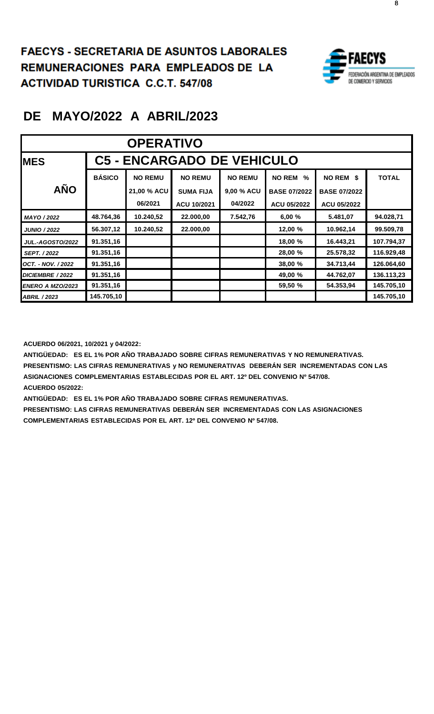**FAECYS - SECRETARIA DE ASUNTOS LABORALES REMUNERACIONES PARA EMPLEADOS DE LA ACTIVIDAD TURISTICA C.C.T. 547/08 FAECYS - SECRETARIA DE ASUNTOS LABORALES REMUNERACIONES PARA EMPLEADOS DE LA ACINUNCRACIONES PARA CINPLE** 



8

## **DE MAYO/2022 A ABRIL/2023**

| <b>OPERATIVO</b>        |               |                |                                   |                |                     |                     |              |  |  |
|-------------------------|---------------|----------------|-----------------------------------|----------------|---------------------|---------------------|--------------|--|--|
| <b>MES</b>              |               |                | <b>C5 - ENCARGADO DE VEHICULO</b> |                |                     |                     |              |  |  |
|                         | <b>BÁSICO</b> | <b>NO REMU</b> | <b>NO REMU</b>                    | <b>NO REMU</b> | <b>NO REM</b><br>%  | NO REM \$           | <b>TOTAL</b> |  |  |
| <b>AÑO</b>              |               | 21,00 % ACU    | <b>SUMA FIJA</b>                  | 9,00 % ACU     | <b>BASE 07/2022</b> | <b>BASE 07/2022</b> |              |  |  |
|                         |               | 06/2021        | ACU 10/2021                       | 04/2022        | ACU 05/2022         | <b>ACU 05/2022</b>  |              |  |  |
| MAYO / 2022             | 48.764,36     | 10.240,52      | 22.000,00                         | 7.542,76       | 6,00%               | 5.481,07            | 94.028,71    |  |  |
| <b>JUNIO / 2022</b>     | 56.307,12     | 10.240,52      | 22.000,00                         |                | 12,00 %             | 10.962,14           | 99.509,78    |  |  |
| <b>JUL.-AGOSTO/2022</b> | 91.351,16     |                |                                   |                | 18,00 %             | 16.443,21           | 107.794,37   |  |  |
| <b>SEPT. / 2022</b>     | 91.351,16     |                |                                   |                | 28,00 %             | 25.578,32           | 116.929,48   |  |  |
| OCT. - NOV. / 2022      | 91.351,16     |                |                                   |                | 38,00 %             | 34.713,44           | 126.064,60   |  |  |
| DICIEMBRE / 2022        | 91.351,16     |                |                                   |                | 49,00 %             | 44.762,07           | 136.113,23   |  |  |
| <b>ENERO A MZO/2023</b> | 91.351,16     |                |                                   |                | 59,50 %             | 54.353,94           | 145.705,10   |  |  |
| <b>ABRIL / 2023</b>     | 145.705,10    |                |                                   |                |                     |                     | 145.705,10   |  |  |

**ACUERDO 06/2021, 10/2021 y 04/2022:**

**ANTIGÜEDAD: ES EL 1% POR AÑO TRABAJADO SOBRE CIFRAS REMUNERATIVAS Y NO REMUNERATIVAS. PRESENTISMO: LAS CIFRAS REMUNERATIVAS y NO REMUNERATIVAS DEBERÁN SER INCREMENTADAS CON LAS ASIGNACIONES COMPLEMENTARIAS ESTABLECIDAS POR EL ART. 12º DEL CONVENIO Nº 547/08. ACUERDO 05/2022:**

**ANTIGÜEDAD: ES EL 1% POR AÑO TRABAJADO SOBRE CIFRAS REMUNERATIVAS.**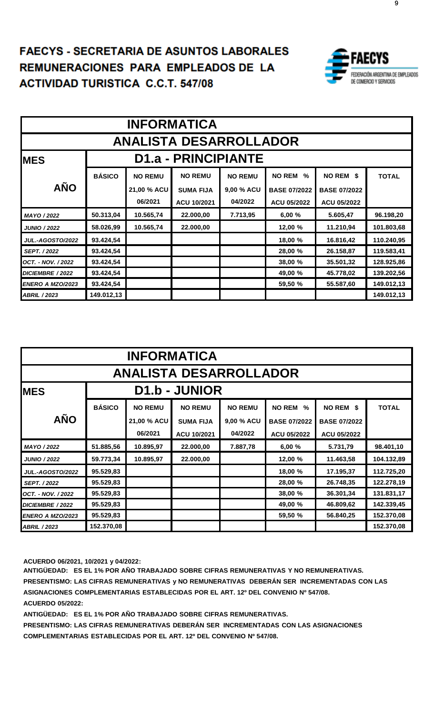#### **FAECYS - SECRETARIA DE ASUNTOS LABORALES** REMUNERACIONES PARA EMPLEADOS.DE L **ACTIVIDAD TURISTICA C.C.T. 547/08 FAECYS - SECRETARIA DE ASUNTOS LABORALES REMUNERACIONES PARA EMPLEADOS DE LA**  EMUNERACIONES PARA EMPLE



|                               | <b>INFORMATICA</b> |                                    |                            |                |                                |                     |              |  |  |  |
|-------------------------------|--------------------|------------------------------------|----------------------------|----------------|--------------------------------|---------------------|--------------|--|--|--|
| <b>ANALISTA DESARROLLADOR</b> |                    |                                    |                            |                |                                |                     |              |  |  |  |
| <b>MES</b>                    |                    |                                    | <b>D1.a - PRINCIPIANTE</b> |                |                                |                     |              |  |  |  |
|                               | <b>BÁSICO</b>      | <b>NO REMU</b>                     | <b>NO REMU</b>             | <b>NO REMU</b> | <b>NO REM</b><br>$\frac{0}{2}$ | NO REM \$           | <b>TOTAL</b> |  |  |  |
| <b>AÑO</b>                    |                    | 21,00 % ACU                        | <b>SUMA FIJA</b>           | 9,00 % ACU     | <b>BASE 07/2022</b>            | <b>BASE 07/2022</b> |              |  |  |  |
|                               |                    | 06/2021                            | ACU 10/2021                | 04/2022        | <b>ACU 05/2022</b>             | ACU 05/2022         |              |  |  |  |
| MAYO / 2022                   | 50.313,04          | 10.565,74                          | 22.000,00                  | 7.713,95       | 6,00%                          | 5.605,47            | 96.198,20    |  |  |  |
| <b>JUNIO / 2022</b>           | 58.026,99          | 10.565,74                          | 22.000,00                  |                | 12,00 %                        | 11.210,94           | 101.803,68   |  |  |  |
| <b>JUL.-AGOSTO/2022</b>       | 93.424,54          |                                    |                            |                | 18,00 %                        | 16.816,42           | 110.240,95   |  |  |  |
| <b>SEPT. / 2022</b>           | 93.424,54          |                                    |                            |                | 28,00 %                        | 26.158,87           | 119.583,41   |  |  |  |
| OCT. - NOV. / 2022            | 93.424,54          |                                    |                            |                | 38,00 %                        | 35.501,32           | 128.925,86   |  |  |  |
| DICIEMBRE / 2022              | 93.424,54          | 45.778,02<br>49,00 %<br>139.202,56 |                            |                |                                |                     |              |  |  |  |
| ENERO A MZO/2023              | 93.424,54          |                                    |                            |                | 59,50 %                        | 55.587,60           | 149.012,13   |  |  |  |
| <b>ABRIL / 2023</b>           | 149.012,13         |                                    |                            |                |                                |                     | 149.012,13   |  |  |  |

|                               | <b>INFORMATICA</b>   |                                    |                  |                |                     |                     |              |  |  |  |
|-------------------------------|----------------------|------------------------------------|------------------|----------------|---------------------|---------------------|--------------|--|--|--|
| <b>ANALISTA DESARROLLADOR</b> |                      |                                    |                  |                |                     |                     |              |  |  |  |
| <b>IMES</b>                   | <b>D1.b - JUNIOR</b> |                                    |                  |                |                     |                     |              |  |  |  |
|                               | <b>BÁSICO</b>        | <b>NO REMU</b>                     | <b>NO REMU</b>   | <b>NO REMU</b> | <b>NO REM</b><br>%  | NO REM \$           | <b>TOTAL</b> |  |  |  |
| <b>AÑO</b>                    |                      | 21,00 % ACU                        | <b>SUMA FIJA</b> | 9,00 % ACU     | <b>BASE 07/2022</b> | <b>BASE 07/2022</b> |              |  |  |  |
|                               |                      | 06/2021                            | ACU 10/2021      | 04/2022        | <b>ACU 05/2022</b>  | ACU 05/2022         |              |  |  |  |
| MAYO / 2022                   | 51.885,56            | 10.895,97                          | 22.000,00        | 7.887,78       | 6,00 %              | 5.731,79            | 98.401,10    |  |  |  |
| <b>JUNIO / 2022</b>           | 59.773,34            | 10.895,97                          | 22.000,00        |                | 12,00 %             | 11.463,58           | 104.132,89   |  |  |  |
| <b>JUL.-AGOSTO/2022</b>       | 95.529,83            |                                    |                  |                | 18,00 %             | 17.195,37           | 112.725,20   |  |  |  |
| SEPT. / 2022                  | 95.529,83            |                                    |                  |                | 28,00 %             | 26.748,35           | 122.278,19   |  |  |  |
| OCT. - NOV. / 2022            | 95.529,83            |                                    |                  |                | 38,00 %             | 36.301,34           | 131.831,17   |  |  |  |
| <b>DICIEMBRE / 2022</b>       | 95.529,83            | 142.339,45<br>49,00 %<br>46.809,62 |                  |                |                     |                     |              |  |  |  |
| <b>ENERO A MZO/2023</b>       | 95.529,83            |                                    |                  |                | 59,50 %             | 56.840,25           | 152.370,08   |  |  |  |
| <b>ABRIL / 2023</b>           | 152.370,08           |                                    |                  |                |                     |                     | 152.370,08   |  |  |  |

**ACUERDO 06/2021, 10/2021 y 04/2022:**

**ANTIGÜEDAD: ES EL 1% POR AÑO TRABAJADO SOBRE CIFRAS REMUNERATIVAS Y NO REMUNERATIVAS. PRESENTISMO: LAS CIFRAS REMUNERATIVAS y NO REMUNERATIVAS DEBERÁN SER INCREMENTADAS CON LAS ASIGNACIONES COMPLEMENTARIAS ESTABLECIDAS POR EL ART. 12º DEL CONVENIO Nº 547/08. ACUERDO 05/2022:**

**ANTIGÜEDAD: ES EL 1% POR AÑO TRABAJADO SOBRE CIFRAS REMUNERATIVAS.**

**PRESENTISMO: LAS CIFRAS REMUNERATIVAS DEBERÁN SER INCREMENTADAS CON LAS ASIGNACIONES COMPLEMENTARIAS ESTABLECIDAS POR EL ART. 12º DEL CONVENIO Nº 547/08.**

9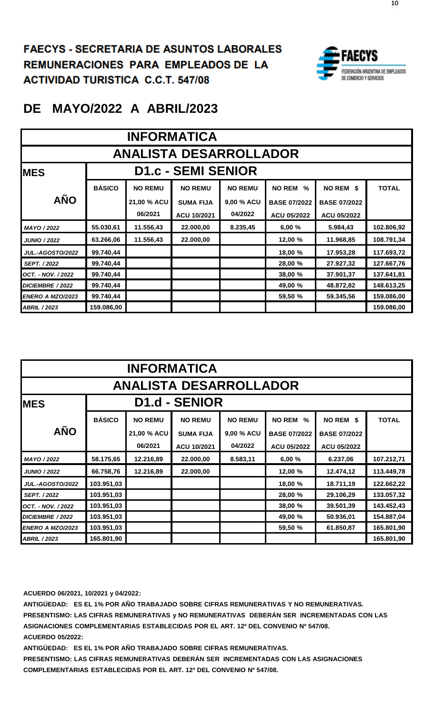**FAECYS - SECRETARIA DE ASUNTOS LABORALES REMUNERACIONES PARA EMPLEADOS DE LA ACTIVIDAD TURISTICA C.C.T. 547/08 FAECYS - SECRETARIA DE ASUNTOS LABORALES REMUNERACIONES PARA EMPLEADOS DE LA ACTIVIDAD TURISTICA C.C.T. 547/08**



### **DE MAYO/2022 A ABRIL/2023**

|                         | <b>INFORMATICA</b>            |                                    |                           |                |                     |                     |              |  |  |  |  |
|-------------------------|-------------------------------|------------------------------------|---------------------------|----------------|---------------------|---------------------|--------------|--|--|--|--|
|                         | <b>ANALISTA DESARROLLADOR</b> |                                    |                           |                |                     |                     |              |  |  |  |  |
| <b>IMES</b>             |                               |                                    | <b>D1.c - SEMI SENIOR</b> |                |                     |                     |              |  |  |  |  |
|                         | <b>BÁSICO</b>                 | <b>NO REMU</b>                     | <b>NO REMU</b>            | <b>NO REMU</b> | <b>NO REM</b><br>%  | NO REM \$           | <b>TOTAL</b> |  |  |  |  |
| <b>AÑO</b>              |                               | 21,00 % ACU                        | <b>SUMA FIJA</b>          | 9,00 % ACU     | <b>BASE 07/2022</b> | <b>BASE 07/2022</b> |              |  |  |  |  |
|                         |                               | 06/2021                            | ACU 10/2021               | 04/2022        | ACU 05/2022         | ACU 05/2022         |              |  |  |  |  |
| MAYO / 2022             | 55.030,61                     | 11.556,43                          | 22.000,00                 | 8.235,45       | 6,00%               | 5.984,43            | 102.806,92   |  |  |  |  |
| <b>JUNIO / 2022</b>     | 63.266,06                     | 11.556,43                          | 22.000,00                 |                | 12,00 %             | 11.968,85           | 108.791,34   |  |  |  |  |
| <b>JUL.-AGOSTO/2022</b> | 99.740,44                     |                                    |                           |                | 18,00 %             | 17.953,28           | 117.693,72   |  |  |  |  |
| SEPT. / 2022            | 99.740,44                     |                                    |                           |                | 28,00 %             | 27.927,32           | 127.667,76   |  |  |  |  |
| OCT. - NOV. / 2022      | 99.740,44                     |                                    |                           |                | 38,00 %             | 37.901,37           | 137.641,81   |  |  |  |  |
| DICIEMBRE / 2022        | 99.740,44                     | 148.613,25<br>49,00 %<br>48.872,82 |                           |                |                     |                     |              |  |  |  |  |
| ENERO A MZO/2023        | 99.740,44                     | 159.086,00<br>59,50 %<br>59.345,56 |                           |                |                     |                     |              |  |  |  |  |
| <b>ABRIL / 2023</b>     | 159.086,00                    |                                    |                           |                |                     |                     | 159.086,00   |  |  |  |  |

|                         | <b>INFORMATICA</b>            |                                    |                  |                |                     |                     |              |  |  |  |  |
|-------------------------|-------------------------------|------------------------------------|------------------|----------------|---------------------|---------------------|--------------|--|--|--|--|
|                         | <b>ANALISTA DESARROLLADOR</b> |                                    |                  |                |                     |                     |              |  |  |  |  |
| <b>IMES</b>             | <b>D1.d - SENIOR</b>          |                                    |                  |                |                     |                     |              |  |  |  |  |
|                         | <b>BÁSICO</b>                 | <b>NO REMU</b>                     | <b>NO REMU</b>   | <b>NO REMU</b> | <b>NO REM</b><br>%  | NO REM \$           | <b>TOTAL</b> |  |  |  |  |
| <b>AÑO</b>              |                               | 21,00 % ACU                        | <b>SUMA FIJA</b> | 9,00 % ACU     | <b>BASE 07/2022</b> | <b>BASE 07/2022</b> |              |  |  |  |  |
|                         |                               | 06/2021                            | ACU 10/2021      | 04/2022        | ACU 05/2022         | ACU 05/2022         |              |  |  |  |  |
| MAYO / 2022             | 58.175,65                     | 12.216,89                          | 22.000,00        | 8.583,11       | 6,00 %              | 6.237,06            | 107.212,71   |  |  |  |  |
| <b>JUNIO / 2022</b>     | 66.758,76                     | 12.216,89                          | 22.000,00        |                | 12,00 %             | 12.474,12           | 113.449,78   |  |  |  |  |
| <b>JUL.-AGOSTO/2022</b> | 103.951,03                    |                                    |                  |                | 18,00 %             | 18.711,19           | 122.662,22   |  |  |  |  |
| <b>SEPT. / 2022</b>     | 103.951,03                    |                                    |                  |                | 28,00 %             | 29.106,29           | 133.057,32   |  |  |  |  |
| OCT. - NOV. / 2022      | 103.951,03                    |                                    |                  |                | 38,00 %             | 39.501,39           | 143.452,43   |  |  |  |  |
| DICIEMBRE / 2022        | 103.951,03                    | 154.887,04<br>49,00 %<br>50.936,01 |                  |                |                     |                     |              |  |  |  |  |
| <b>ENERO A MZO/2023</b> | 103.951,03                    |                                    |                  |                | 59,50 %             | 61.850,87           | 165.801,90   |  |  |  |  |
| <b>ABRIL / 2023</b>     | 165.801,90                    |                                    |                  |                |                     |                     | 165.801,90   |  |  |  |  |

**ACUERDO 06/2021, 10/2021 y 04/2022:**

**ANTIGÜEDAD: ES EL 1% POR AÑO TRABAJADO SOBRE CIFRAS REMUNERATIVAS Y NO REMUNERATIVAS. PRESENTISMO: LAS CIFRAS REMUNERATIVAS y NO REMUNERATIVAS DEBERÁN SER INCREMENTADAS CON LAS ASIGNACIONES COMPLEMENTARIAS ESTABLECIDAS POR EL ART. 12º DEL CONVENIO Nº 547/08. ACUERDO 05/2022:**

**ANTIGÜEDAD: ES EL 1% POR AÑO TRABAJADO SOBRE CIFRAS REMUNERATIVAS.**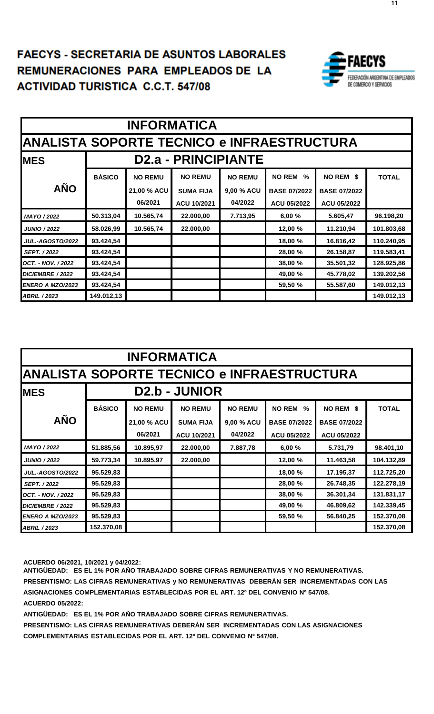#### **FAECYS - SECRETARIA DE ASUNTOS LABORALES EMUNERACIONES PARA EMPLEADOS DE LA ACTIVIDAD TURISTICA C.C.T. 547/08 FAECYS - SECRETARIA DE ASUNTOS LABORALES REGIS - SEGRETARIA DE ASUNTOS LA DORAL**



|                                                   | <b>INFORMATICA</b> |                                    |                            |                |                     |                     |              |  |  |  |  |
|---------------------------------------------------|--------------------|------------------------------------|----------------------------|----------------|---------------------|---------------------|--------------|--|--|--|--|
| <b>ANALISTA SOPORTE TECNICO e INFRAESTRUCTURA</b> |                    |                                    |                            |                |                     |                     |              |  |  |  |  |
| <b>IMES</b>                                       |                    |                                    | <b>D2.a - PRINCIPIANTE</b> |                |                     |                     |              |  |  |  |  |
|                                                   | <b>BÁSICO</b>      | <b>NO REMU</b>                     | <b>NO REMU</b>             | <b>NO REMU</b> | <b>NO REM</b><br>%  | NO REM \$           | <b>TOTAL</b> |  |  |  |  |
| <b>AÑO</b>                                        |                    | 21,00 % ACU                        | <b>SUMA FIJA</b>           | 9,00 % ACU     | <b>BASE 07/2022</b> | <b>BASE 07/2022</b> |              |  |  |  |  |
|                                                   |                    | 06/2021                            | ACU 10/2021                | 04/2022        | ACU 05/2022         | ACU 05/2022         |              |  |  |  |  |
| MAYO / 2022                                       | 50.313,04          | 10.565,74                          | 22.000,00                  | 7.713,95       | 6,00%               | 5.605,47            | 96.198,20    |  |  |  |  |
| <b>JUNIO / 2022</b>                               | 58.026,99          | 10.565,74                          | 22.000,00                  |                | 12,00 %             | 11.210,94           | 101.803,68   |  |  |  |  |
| <b>JUL.-AGOSTO/2022</b>                           | 93.424,54          |                                    |                            |                | 18,00 %             | 16.816,42           | 110.240,95   |  |  |  |  |
| <b>SEPT. / 2022</b>                               | 93.424,54          |                                    |                            |                | 28,00 %             | 26.158,87           | 119.583,41   |  |  |  |  |
| OCT. - NOV. / 2022                                | 93.424,54          |                                    |                            |                | 38,00 %             | 35.501,32           | 128.925,86   |  |  |  |  |
| DICIEMBRE / 2022                                  | 93.424,54          | 45.778,02<br>139.202,56<br>49,00 % |                            |                |                     |                     |              |  |  |  |  |
| <b>ENERO A MZO/2023</b>                           | 93.424,54          |                                    |                            |                | 59,50 %             | 55.587,60           | 149.012,13   |  |  |  |  |
| <b>ABRIL / 2023</b>                               | 149.012,13         |                                    |                            |                |                     |                     | 149.012,13   |  |  |  |  |

|                                                   | <b>INFORMATICA</b> |                                    |                      |                |                     |                     |              |  |  |  |  |
|---------------------------------------------------|--------------------|------------------------------------|----------------------|----------------|---------------------|---------------------|--------------|--|--|--|--|
| <b>ANALISTA SOPORTE TECNICO e INFRAESTRUCTURA</b> |                    |                                    |                      |                |                     |                     |              |  |  |  |  |
| <b>IMES</b>                                       |                    |                                    | <b>D2.b - JUNIOR</b> |                |                     |                     |              |  |  |  |  |
|                                                   | <b>BÁSICO</b>      | <b>NO REMU</b>                     | <b>NO REMU</b>       | <b>NO REMU</b> | <b>NO REM</b><br>%  | NO REM \$           | <b>TOTAL</b> |  |  |  |  |
| <b>AÑO</b>                                        |                    | 21,00 % ACU                        | <b>SUMA FIJA</b>     | 9,00 % ACU     | <b>BASE 07/2022</b> | <b>BASE 07/2022</b> |              |  |  |  |  |
|                                                   |                    | 06/2021                            | ACU 10/2021          | 04/2022        | <b>ACU 05/2022</b>  | <b>ACU 05/2022</b>  |              |  |  |  |  |
| MAYO / 2022                                       | 51.885,56          | 10.895,97                          | 22.000,00            | 7.887,78       | 6,00%               | 5.731,79            | 98.401,10    |  |  |  |  |
| <b>JUNIO / 2022</b>                               | 59.773,34          | 10.895,97                          | 22.000,00            |                | 12,00 %             | 11.463,58           | 104.132,89   |  |  |  |  |
| <b>JUL.-AGOSTO/2022</b>                           | 95.529,83          |                                    |                      |                | 18,00 %             | 17.195,37           | 112.725,20   |  |  |  |  |
| <b>SEPT. / 2022</b>                               | 95.529,83          |                                    |                      |                | 28,00 %             | 26.748,35           | 122.278,19   |  |  |  |  |
| OCT. - NOV. / 2022                                | 95.529,83          |                                    |                      |                | 38,00 %             | 36.301,34           | 131.831,17   |  |  |  |  |
| DICIEMBRE / 2022                                  | 95.529,83          | 49,00 %<br>46.809,62<br>142.339,45 |                      |                |                     |                     |              |  |  |  |  |
| ENERO A MZO/2023                                  | 95.529,83          |                                    |                      |                | 59,50 %             | 56.840,25           | 152.370,08   |  |  |  |  |
| <b>ABRIL / 2023</b>                               | 152.370,08         |                                    |                      |                |                     |                     | 152.370,08   |  |  |  |  |

**ACUERDO 06/2021, 10/2021 y 04/2022:**

**ANTIGÜEDAD: ES EL 1% POR AÑO TRABAJADO SOBRE CIFRAS REMUNERATIVAS Y NO REMUNERATIVAS. PRESENTISMO: LAS CIFRAS REMUNERATIVAS y NO REMUNERATIVAS DEBERÁN SER INCREMENTADAS CON LAS ASIGNACIONES COMPLEMENTARIAS ESTABLECIDAS POR EL ART. 12º DEL CONVENIO Nº 547/08. ACUERDO 05/2022:**

**ANTIGÜEDAD: ES EL 1% POR AÑO TRABAJADO SOBRE CIFRAS REMUNERATIVAS.**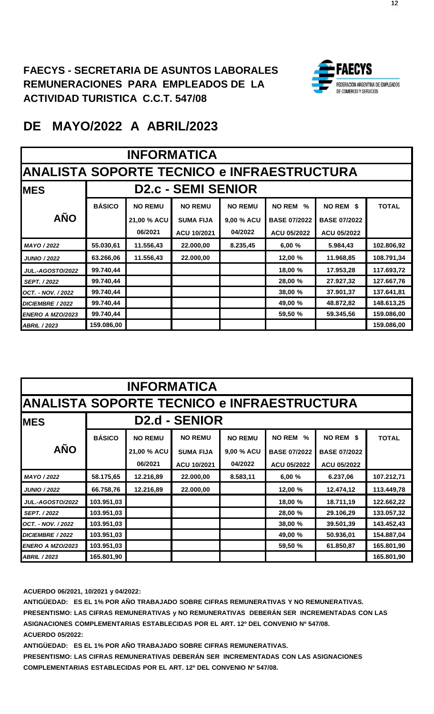

|                         | <b>INFORMATICA</b>                                |                                    |                           |                |                                |                     |              |  |  |  |  |
|-------------------------|---------------------------------------------------|------------------------------------|---------------------------|----------------|--------------------------------|---------------------|--------------|--|--|--|--|
|                         | <b>ANALISTA SOPORTE TECNICO e INFRAESTRUCTURA</b> |                                    |                           |                |                                |                     |              |  |  |  |  |
| <b>IMES</b>             |                                                   |                                    | <b>D2.c - SEMI SENIOR</b> |                |                                |                     |              |  |  |  |  |
|                         | <b>BÁSICO</b>                                     | <b>NO REMU</b>                     | <b>NO REMU</b>            | <b>NO REMU</b> | <b>NO REM</b><br>$\frac{0}{0}$ | NO REM \$           | <b>TOTAL</b> |  |  |  |  |
| <b>AÑO</b>              |                                                   | 21,00 % ACU                        | <b>SUMA FIJA</b>          | 9,00 % ACU     | <b>BASE 07/2022</b>            | <b>BASE 07/2022</b> |              |  |  |  |  |
|                         |                                                   | 06/2021                            | ACU 10/2021               | 04/2022        | ACU 05/2022                    | ACU 05/2022         |              |  |  |  |  |
| MAYO / 2022             | 55.030,61                                         | 11.556,43                          | 22.000,00                 | 8.235,45       | 6,00 %                         | 5.984,43            | 102.806,92   |  |  |  |  |
| <b>JUNIO / 2022</b>     | 63.266,06                                         | 11.556,43                          | 22.000,00                 |                | 12,00 %                        | 11.968,85           | 108.791,34   |  |  |  |  |
| <b>JUL.-AGOSTO/2022</b> | 99.740,44                                         |                                    |                           |                | 18,00 %                        | 17.953,28           | 117.693,72   |  |  |  |  |
| <b>SEPT. / 2022</b>     | 99.740,44                                         |                                    |                           |                | 28,00 %                        | 27.927,32           | 127.667,76   |  |  |  |  |
| OCT. - NOV. / 2022      | 99.740,44                                         |                                    |                           |                | 38,00 %                        | 37.901,37           | 137.641,81   |  |  |  |  |
| DICIEMBRE / 2022        | 99.740,44                                         | 148.613,25<br>49,00 %<br>48.872,82 |                           |                |                                |                     |              |  |  |  |  |
| ENERO A MZO/2023        | 99.740,44                                         | 59.345,56<br>159.086,00<br>59,50 % |                           |                |                                |                     |              |  |  |  |  |
| <b>ABRIL / 2023</b>     | 159.086,00                                        |                                    |                           |                |                                |                     | 159.086,00   |  |  |  |  |

|                                                   | <b>INFORMATICA</b> |                                    |                      |                |                     |                     |              |  |  |  |  |
|---------------------------------------------------|--------------------|------------------------------------|----------------------|----------------|---------------------|---------------------|--------------|--|--|--|--|
| <b>ANALISTA SOPORTE TECNICO e INFRAESTRUCTURA</b> |                    |                                    |                      |                |                     |                     |              |  |  |  |  |
| <b>IMES</b>                                       |                    |                                    | <b>D2.d - SENIOR</b> |                |                     |                     |              |  |  |  |  |
|                                                   | <b>BÁSICO</b>      | <b>NO REMU</b>                     | <b>NO REMU</b>       | <b>NO REMU</b> | <b>NO REM</b><br>%  | NO REM \$           | <b>TOTAL</b> |  |  |  |  |
| <b>AÑO</b>                                        |                    | 21,00 % ACU                        | <b>SUMA FIJA</b>     | 9,00 % ACU     | <b>BASE 07/2022</b> | <b>BASE 07/2022</b> |              |  |  |  |  |
|                                                   |                    | 06/2021                            | ACU 10/2021          | 04/2022        | <b>ACU 05/2022</b>  | ACU 05/2022         |              |  |  |  |  |
| MAYO / 2022                                       | 58.175,65          | 12.216,89                          | 22.000,00            | 8.583,11       | 6,00 %              | 6.237,06            | 107.212,71   |  |  |  |  |
| <b>JUNIO / 2022</b>                               | 66.758,76          | 12.216,89                          | 22.000,00            |                | 12,00 %             | 12.474,12           | 113.449,78   |  |  |  |  |
| <b>JUL.-AGOSTO/2022</b>                           | 103.951,03         |                                    |                      |                | 18,00 %             | 18.711,19           | 122.662,22   |  |  |  |  |
| <b>SEPT. / 2022</b>                               | 103.951,03         |                                    |                      |                | 28,00 %             | 29.106,29           | 133.057,32   |  |  |  |  |
| OCT. - NOV. / 2022                                | 103.951,03         |                                    |                      |                | 38,00 %             | 39.501,39           | 143.452,43   |  |  |  |  |
| DICIEMBRE / 2022                                  | 103.951,03         | 49,00 %<br>154.887,04<br>50.936,01 |                      |                |                     |                     |              |  |  |  |  |
| <b>ENERO A MZO/2023</b>                           | 103.951,03         |                                    |                      |                | 59,50 %             | 61.850,87           | 165.801,90   |  |  |  |  |
| <b>ABRIL / 2023</b>                               | 165.801,90         |                                    |                      |                |                     |                     | 165.801,90   |  |  |  |  |

**ACUERDO 06/2021, 10/2021 y 04/2022:**

**ANTIGÜEDAD: ES EL 1% POR AÑO TRABAJADO SOBRE CIFRAS REMUNERATIVAS Y NO REMUNERATIVAS. PRESENTISMO: LAS CIFRAS REMUNERATIVAS y NO REMUNERATIVAS DEBERÁN SER INCREMENTADAS CON LAS ASIGNACIONES COMPLEMENTARIAS ESTABLECIDAS POR EL ART. 12º DEL CONVENIO Nº 547/08. ACUERDO 05/2022:**

**ANTIGÜEDAD: ES EL 1% POR AÑO TRABAJADO SOBRE CIFRAS REMUNERATIVAS.**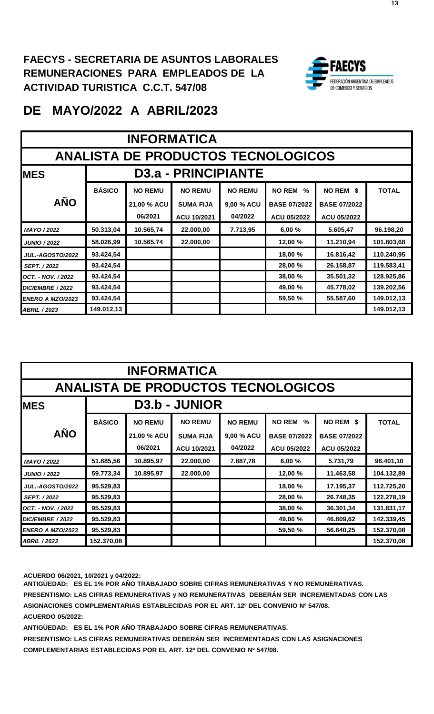

|                         | <b>INFORMATICA</b>                        |                                    |                                 |                |                                |                     |              |  |  |  |  |
|-------------------------|-------------------------------------------|------------------------------------|---------------------------------|----------------|--------------------------------|---------------------|--------------|--|--|--|--|
|                         | <b>ANALISTA DE PRODUCTOS TECNOLOGICOS</b> |                                    |                                 |                |                                |                     |              |  |  |  |  |
| <b>IMES</b>             |                                           |                                    | D <sub>3.a</sub> - PRINCIPIANTE |                |                                |                     |              |  |  |  |  |
|                         | <b>BÁSICO</b>                             | <b>NO REMU</b>                     | <b>NO REMU</b>                  | <b>NO REMU</b> | <b>NO REM</b><br>$\frac{0}{0}$ | NO REM \$           | <b>TOTAL</b> |  |  |  |  |
| <b>AÑO</b>              |                                           | 21,00 % ACU                        | <b>SUMA FIJA</b>                | 9,00 % ACU     | <b>BASE 07/2022</b>            | <b>BASE 07/2022</b> |              |  |  |  |  |
|                         |                                           | 06/2021                            | ACU 10/2021                     | 04/2022        | <b>ACU 05/2022</b>             | ACU 05/2022         |              |  |  |  |  |
| MAYO / 2022             | 50.313,04                                 | 10.565,74                          | 22.000,00                       | 7.713,95       | 6,00%                          | 5.605,47            | 96.198,20    |  |  |  |  |
| <b>JUNIO / 2022</b>     | 58.026,99                                 | 10.565,74                          | 22.000,00                       |                | 12,00 %                        | 11.210,94           | 101.803,68   |  |  |  |  |
| <b>JUL.-AGOSTO/2022</b> | 93.424,54                                 |                                    |                                 |                | 18,00 %                        | 16.816,42           | 110.240,95   |  |  |  |  |
| SEPT. / 2022            | 93.424,54                                 |                                    |                                 |                | 28,00 %                        | 26.158,87           | 119.583,41   |  |  |  |  |
| OCT. - NOV. / 2022      | 93.424,54                                 |                                    |                                 |                | 38,00 %                        | 35.501,32           | 128.925,86   |  |  |  |  |
| DICIEMBRE / 2022        | 93.424,54                                 | 49,00 %<br>45.778,02<br>139.202,56 |                                 |                |                                |                     |              |  |  |  |  |
| <b>ENERO A MZO/2023</b> | 93.424,54                                 | 59,50 %<br>55.587,60<br>149.012,13 |                                 |                |                                |                     |              |  |  |  |  |
| <b>ABRIL / 2023</b>     | 149.012,13                                |                                    |                                 |                |                                |                     | 149.012,13   |  |  |  |  |

|                                           | <b>INFORMATICA</b> |                                    |                      |                |                                |                     |              |  |  |  |
|-------------------------------------------|--------------------|------------------------------------|----------------------|----------------|--------------------------------|---------------------|--------------|--|--|--|
| <b>ANALISTA DE PRODUCTOS TECNOLOGICOS</b> |                    |                                    |                      |                |                                |                     |              |  |  |  |
| <b>IMES</b>                               |                    |                                    | <b>D3.b - JUNIOR</b> |                |                                |                     |              |  |  |  |
|                                           | <b>BÁSICO</b>      | <b>NO REMU</b>                     | <b>NO REMU</b>       | <b>NO REMU</b> | <b>NO REM</b><br>$\frac{9}{6}$ | NO REM \$           | <b>TOTAL</b> |  |  |  |
| <b>AÑO</b>                                |                    | 21,00 % ACU                        | <b>SUMA FIJA</b>     | 9,00 % ACU     | <b>BASE 07/2022</b>            | <b>BASE 07/2022</b> |              |  |  |  |
|                                           |                    | 06/2021                            | ACU 10/2021          | 04/2022        | ACU 05/2022                    | <b>ACU 05/2022</b>  |              |  |  |  |
| MAYO / 2022                               | 51.885,56          | 10.895,97                          | 22.000,00            | 7.887,78       | 6,00%                          | 5.731,79            | 98.401,10    |  |  |  |
| <b>JUNIO / 2022</b>                       | 59.773,34          | 10.895,97                          | 22.000,00            |                | 12,00 %                        | 11.463,58           | 104.132,89   |  |  |  |
| <b>JUL.-AGOSTO/2022</b>                   | 95.529,83          |                                    |                      |                | 18,00 %                        | 17.195,37           | 112.725,20   |  |  |  |
| <b>SEPT. / 2022</b>                       | 95.529,83          |                                    |                      |                | 28,00 %                        | 26.748,35           | 122.278,19   |  |  |  |
| OCT. - NOV. / 2022                        | 95.529,83          |                                    |                      |                | 38,00 %                        | 36.301,34           | 131.831,17   |  |  |  |
| DICIEMBRE / 2022                          | 95.529,83          | 49,00 %<br>46.809,62<br>142.339,45 |                      |                |                                |                     |              |  |  |  |
| ENERO A MZO/2023                          | 95.529,83          | 59,50 %<br>152.370,08<br>56.840,25 |                      |                |                                |                     |              |  |  |  |
| <b>ABRIL / 2023</b>                       | 152.370,08         |                                    |                      |                |                                |                     | 152.370,08   |  |  |  |

**ACUERDO 06/2021, 10/2021 y 04/2022:**

**ANTIGÜEDAD: ES EL 1% POR AÑO TRABAJADO SOBRE CIFRAS REMUNERATIVAS Y NO REMUNERATIVAS. PRESENTISMO: LAS CIFRAS REMUNERATIVAS y NO REMUNERATIVAS DEBERÁN SER INCREMENTADAS CON LAS ASIGNACIONES COMPLEMENTARIAS ESTABLECIDAS POR EL ART. 12º DEL CONVENIO Nº 547/08. ACUERDO 05/2022:**

**ANTIGÜEDAD: ES EL 1% POR AÑO TRABAJADO SOBRE CIFRAS REMUNERATIVAS.**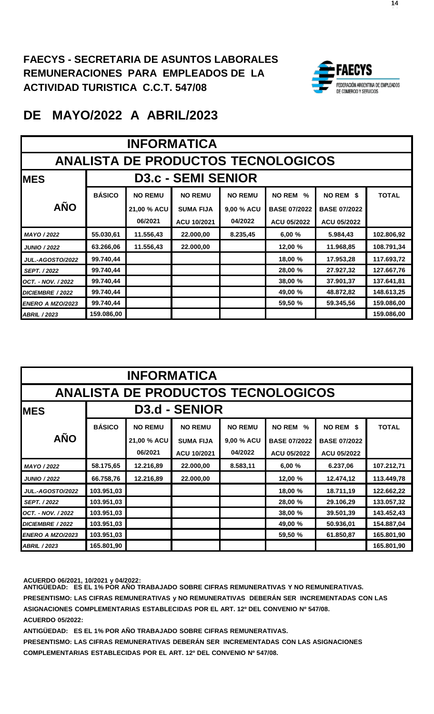

|                         | <b>INFORMATICA</b>                        |                                    |                           |                |                                |                     |              |  |  |  |
|-------------------------|-------------------------------------------|------------------------------------|---------------------------|----------------|--------------------------------|---------------------|--------------|--|--|--|
|                         | <b>ANALISTA DE PRODUCTOS TECNOLOGICOS</b> |                                    |                           |                |                                |                     |              |  |  |  |
| <b>IMES</b>             |                                           |                                    | <b>D3.c - SEMI SENIOR</b> |                |                                |                     |              |  |  |  |
|                         | <b>BÁSICO</b>                             | <b>NO REMU</b>                     | <b>NO REMU</b>            | <b>NO REMU</b> | <b>NO REM</b><br>$\frac{0}{0}$ | NO REM \$           | <b>TOTAL</b> |  |  |  |
| <b>AÑO</b>              |                                           | 21,00 % ACU                        | <b>SUMA FIJA</b>          | 9,00 % ACU     | <b>BASE 07/2022</b>            | <b>BASE 07/2022</b> |              |  |  |  |
|                         |                                           | 06/2021                            | ACU 10/2021               | 04/2022        | ACU 05/2022                    | <b>ACU 05/2022</b>  |              |  |  |  |
| MAYO / 2022             | 55.030,61                                 | 11.556,43                          | 22.000,00                 | 8.235,45       | 6,00 %                         | 5.984,43            | 102.806,92   |  |  |  |
| <b>JUNIO / 2022</b>     | 63.266,06                                 | 11.556,43                          | 22.000,00                 |                | 12,00 %                        | 11.968,85           | 108.791,34   |  |  |  |
| <b>JUL.-AGOSTO/2022</b> | 99.740,44                                 |                                    |                           |                | 18,00 %                        | 17.953,28           | 117.693,72   |  |  |  |
| <b>SEPT. / 2022</b>     | 99.740,44                                 |                                    |                           |                | 28,00 %                        | 27.927,32           | 127.667,76   |  |  |  |
| OCT. - NOV. / 2022      | 99.740,44                                 |                                    |                           |                | 38,00 %                        | 37.901,37           | 137.641,81   |  |  |  |
| DICIEMBRE / 2022        | 99.740,44                                 | 148.613,25<br>49,00 %<br>48.872,82 |                           |                |                                |                     |              |  |  |  |
| ENERO A MZO/2023        | 99.740,44                                 | 59,50 %<br>59.345,56<br>159.086,00 |                           |                |                                |                     |              |  |  |  |
| <b>ABRIL / 2023</b>     | 159.086,00                                |                                    |                           |                |                                |                     | 159.086,00   |  |  |  |

|                         | <b>INFORMATICA</b>                               |                                    |                      |                |                     |                     |              |  |  |  |
|-------------------------|--------------------------------------------------|------------------------------------|----------------------|----------------|---------------------|---------------------|--------------|--|--|--|
|                         | <b>ANALISTA DE PRODUCTOS TECNOLOGICOS</b>        |                                    |                      |                |                     |                     |              |  |  |  |
| <b>MES</b>              |                                                  |                                    | <b>D3.d - SENIOR</b> |                |                     |                     |              |  |  |  |
|                         | <b>BÁSICO</b>                                    | <b>NO REMU</b>                     | <b>NO REMU</b>       | <b>NO REMU</b> | <b>NO REM</b><br>%  | NO REM \$           | <b>TOTAL</b> |  |  |  |
| <b>AÑO</b>              |                                                  | 21,00 % ACU                        | <b>SUMA FIJA</b>     | 9,00 % ACU     | <b>BASE 07/2022</b> | <b>BASE 07/2022</b> |              |  |  |  |
|                         |                                                  | 06/2021                            | ACU 10/2021          | 04/2022        | <b>ACU 05/2022</b>  | ACU 05/2022         |              |  |  |  |
| MAYO / 2022             | 58.175,65                                        | 12.216,89                          | 22.000,00            | 8.583,11       | 6,00%               | 6.237,06            | 107.212,71   |  |  |  |
| <b>JUNIO / 2022</b>     | 66.758,76                                        | 12.216,89                          | 22.000,00            |                | 12,00 %             | 12.474,12           | 113.449,78   |  |  |  |
| <b>JUL.-AGOSTO/2022</b> | 103.951,03                                       |                                    |                      |                | 18,00 %             | 18.711,19           | 122.662,22   |  |  |  |
| <b>SEPT. / 2022</b>     | 103.951,03                                       |                                    |                      |                | 28,00 %             | 29.106,29           | 133.057,32   |  |  |  |
| OCT. - NOV. / 2022      | 103.951,03                                       |                                    |                      |                | 38,00 %             | 39.501,39           | 143.452,43   |  |  |  |
| DICIEMBRE / 2022        | 103.951,03<br>154.887,04<br>49,00 %<br>50.936,01 |                                    |                      |                |                     |                     |              |  |  |  |
| ENERO A MZO/2023        | 103.951,03                                       | 59,50 %<br>61.850,87<br>165.801,90 |                      |                |                     |                     |              |  |  |  |
| <b>ABRIL / 2023</b>     | 165.801,90                                       |                                    |                      |                |                     |                     | 165.801,90   |  |  |  |

**ACUERDO 06/2021, 10/2021 y 04/2022: ANTIGÜEDAD: ES EL 1% POR AÑO TRABAJADO SOBRE CIFRAS REMUNERATIVAS Y NO REMUNERATIVAS. PRESENTISMO: LAS CIFRAS REMUNERATIVAS y NO REMUNERATIVAS DEBERÁN SER INCREMENTADAS CON LAS ASIGNACIONES COMPLEMENTARIAS ESTABLECIDAS POR EL ART. 12º DEL CONVENIO Nº 547/08. ACUERDO 05/2022:**

**ANTIGÜEDAD: ES EL 1% POR AÑO TRABAJADO SOBRE CIFRAS REMUNERATIVAS.**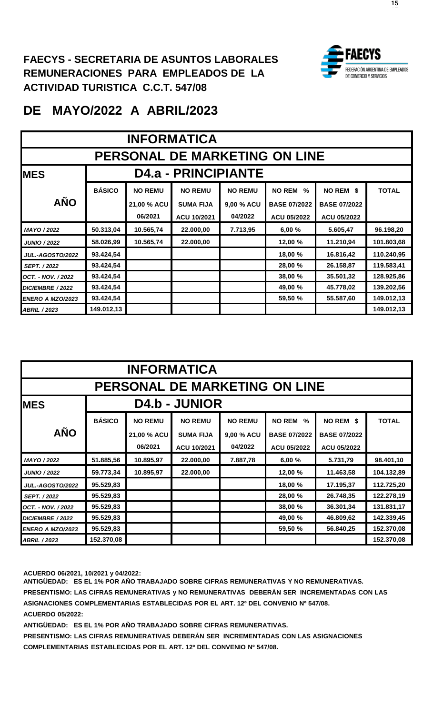

### **DE MAYO/2022 A ABRIL/2023**

|                         | <b>INFORMATICA</b>            |                                    |                            |                |                       |                     |              |  |  |  |
|-------------------------|-------------------------------|------------------------------------|----------------------------|----------------|-----------------------|---------------------|--------------|--|--|--|
|                         | PERSONAL DE MARKETING ON LINE |                                    |                            |                |                       |                     |              |  |  |  |
| <b>IMES</b>             |                               |                                    | <b>D4.a - PRINCIPIANTE</b> |                |                       |                     |              |  |  |  |
|                         | <b>BÁSICO</b>                 | <b>NO REMU</b>                     | <b>NO REMU</b>             | <b>NO REMU</b> | <b>NO REM</b><br>$\%$ | NO REM \$           | <b>TOTAL</b> |  |  |  |
| <b>AÑO</b>              |                               | 21,00 % ACU                        | <b>SUMA FIJA</b>           | 9,00 % ACU     | <b>BASE 07/2022</b>   | <b>BASE 07/2022</b> |              |  |  |  |
|                         |                               | 06/2021                            | ACU 10/2021                | 04/2022        | ACU 05/2022           | ACU 05/2022         |              |  |  |  |
| MAYO / 2022             | 50.313,04                     | 10.565,74                          | 22.000,00                  | 7.713,95       | 6,00 %                | 5.605,47            | 96.198,20    |  |  |  |
| <b>JUNIO / 2022</b>     | 58.026,99                     | 10.565,74                          | 22.000,00                  |                | 12,00 %               | 11.210,94           | 101.803,68   |  |  |  |
| <b>JUL.-AGOSTO/2022</b> | 93.424,54                     |                                    |                            |                | 18,00 %               | 16.816,42           | 110.240,95   |  |  |  |
| <b>SEPT. / 2022</b>     | 93.424,54                     |                                    |                            |                | 28,00 %               | 26.158,87           | 119.583,41   |  |  |  |
| OCT. - NOV. / 2022      | 93.424,54                     |                                    |                            |                | 38,00 %               | 35.501,32           | 128.925,86   |  |  |  |
| DICIEMBRE / 2022        | 93.424,54                     | 49,00 %<br>45.778,02<br>139.202,56 |                            |                |                       |                     |              |  |  |  |
| ENERO A MZO/2023        | 93.424,54                     |                                    |                            |                | 59,50 %               | 55.587,60           | 149.012,13   |  |  |  |
| <b>ABRIL / 2023</b>     | 149.012,13                    |                                    |                            |                |                       |                     | 149.012,13   |  |  |  |

|                                      | <b>INFORMATICA</b> |                                    |                      |                |                                |                     |              |  |  |  |
|--------------------------------------|--------------------|------------------------------------|----------------------|----------------|--------------------------------|---------------------|--------------|--|--|--|
| <b>PERSONAL DE MARKETING ON LINE</b> |                    |                                    |                      |                |                                |                     |              |  |  |  |
| <b>IMES</b>                          |                    |                                    | <b>D4.b - JUNIOR</b> |                |                                |                     |              |  |  |  |
|                                      | <b>BÁSICO</b>      | <b>NO REMU</b>                     | <b>NO REMU</b>       | <b>NO REMU</b> | <b>NO REM</b><br>$\frac{0}{0}$ | NO REM \$           | <b>TOTAL</b> |  |  |  |
| <b>AÑO</b>                           |                    | 21,00 % ACU                        | <b>SUMA FIJA</b>     | 9,00 % ACU     | <b>BASE 07/2022</b>            | <b>BASE 07/2022</b> |              |  |  |  |
|                                      |                    | 06/2021                            | ACU 10/2021          | 04/2022        | ACU 05/2022                    | <b>ACU 05/2022</b>  |              |  |  |  |
| MAYO / 2022                          | 51.885,56          | 10.895,97                          | 22.000,00            | 7.887,78       | 6,00%                          | 5.731,79            | 98.401,10    |  |  |  |
| <b>JUNIO / 2022</b>                  | 59.773,34          | 10.895,97                          | 22.000,00            |                | 12,00 %                        | 11.463,58           | 104.132,89   |  |  |  |
| <b>JUL.-AGOSTO/2022</b>              | 95.529,83          |                                    |                      |                | 18,00 %                        | 17.195,37           | 112.725,20   |  |  |  |
| <b>SEPT. / 2022</b>                  | 95.529,83          |                                    |                      |                | 28,00 %                        | 26.748,35           | 122.278,19   |  |  |  |
| OCT. - NOV. / 2022                   | 95.529,83          |                                    |                      |                | 38,00 %                        | 36.301,34           | 131.831,17   |  |  |  |
| DICIEMBRE / 2022                     | 95.529,83          | 49,00 %<br>46.809,62<br>142.339,45 |                      |                |                                |                     |              |  |  |  |
| <b>ENERO A MZO/2023</b>              | 95.529,83          | 59,50 %<br>152.370,08<br>56.840,25 |                      |                |                                |                     |              |  |  |  |
| <b>ABRIL / 2023</b>                  | 152.370,08         |                                    |                      |                |                                |                     | 152.370,08   |  |  |  |

**ACUERDO 06/2021, 10/2021 y 04/2022:**

**ANTIGÜEDAD: ES EL 1% POR AÑO TRABAJADO SOBRE CIFRAS REMUNERATIVAS Y NO REMUNERATIVAS. PRESENTISMO: LAS CIFRAS REMUNERATIVAS y NO REMUNERATIVAS DEBERÁN SER INCREMENTADAS CON LAS ASIGNACIONES COMPLEMENTARIAS ESTABLECIDAS POR EL ART. 12º DEL CONVENIO Nº 547/08. ACUERDO 05/2022:**

**ANTIGÜEDAD: ES EL 1% POR AÑO TRABAJADO SOBRE CIFRAS REMUNERATIVAS.**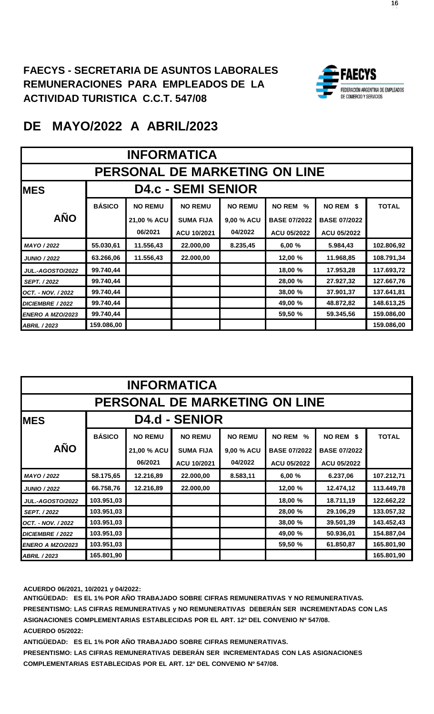

|                           | <b>INFORMATICA</b>            |                                    |                           |                |                                |                     |              |  |  |  |
|---------------------------|-------------------------------|------------------------------------|---------------------------|----------------|--------------------------------|---------------------|--------------|--|--|--|
|                           | PERSONAL DE MARKETING ON LINE |                                    |                           |                |                                |                     |              |  |  |  |
| <b>IMES</b>               |                               |                                    | <b>D4.c - SEMI SENIOR</b> |                |                                |                     |              |  |  |  |
|                           | <b>BÁSICO</b>                 | <b>NO REMU</b>                     | <b>NO REMU</b>            | <b>NO REMU</b> | <b>NO REM</b><br>$\frac{0}{0}$ | NO REM \$           | <b>TOTAL</b> |  |  |  |
| <b>AÑO</b>                |                               | 21,00 % ACU                        | <b>SUMA FIJA</b>          | 9,00 % ACU     | <b>BASE 07/2022</b>            | <b>BASE 07/2022</b> |              |  |  |  |
|                           |                               | 06/2021                            | ACU 10/2021               | 04/2022        | ACU 05/2022                    | ACU 05/2022         |              |  |  |  |
| MAYO / 2022               | 55.030,61                     | 11.556,43                          | 22.000,00                 | 8.235,45       | 6,00%                          | 5.984,43            | 102.806,92   |  |  |  |
| <b>JUNIO / 2022</b>       | 63.266,06                     | 11.556,43                          | 22.000,00                 |                | 12,00 %                        | 11.968,85           | 108.791,34   |  |  |  |
| <b>JUL.-AGOSTO/2022</b>   | 99.740,44                     |                                    |                           |                | 18,00 %                        | 17.953,28           | 117.693,72   |  |  |  |
| SEPT. / 2022              | 99.740,44                     |                                    |                           |                | 28,00 %                        | 27.927,32           | 127.667,76   |  |  |  |
| <b>OCT. - NOV. / 2022</b> | 99.740,44                     |                                    |                           |                | 38,00 %                        | 37.901,37           | 137.641,81   |  |  |  |
| DICIEMBRE / 2022          | 99.740,44                     | 148.613,25<br>49,00 %<br>48.872,82 |                           |                |                                |                     |              |  |  |  |
| ENERO A MZO/2023          | 99.740,44                     | 59,50 %<br>59.345,56<br>159.086,00 |                           |                |                                |                     |              |  |  |  |
| <b>ABRIL / 2023</b>       | 159.086,00                    |                                    |                           |                |                                |                     | 159.086,00   |  |  |  |

|                               | <b>INFORMATICA</b> |                                    |                      |                |                                |                     |              |  |  |  |
|-------------------------------|--------------------|------------------------------------|----------------------|----------------|--------------------------------|---------------------|--------------|--|--|--|
| PERSONAL DE MARKETING ON LINE |                    |                                    |                      |                |                                |                     |              |  |  |  |
| <b>MES</b>                    |                    |                                    | <b>D4.d - SENIOR</b> |                |                                |                     |              |  |  |  |
|                               | <b>BÁSICO</b>      | <b>NO REMU</b>                     | <b>NO REMU</b>       | <b>NO REMU</b> | <b>NO REM</b><br>$\frac{0}{2}$ | NO REM \$           | <b>TOTAL</b> |  |  |  |
| <b>AÑO</b>                    |                    | 21,00 % ACU                        | <b>SUMA FIJA</b>     | 9,00 % ACU     | <b>BASE 07/2022</b>            | <b>BASE 07/2022</b> |              |  |  |  |
|                               |                    | 06/2021                            | ACU 10/2021          | 04/2022        | ACU 05/2022                    | ACU 05/2022         |              |  |  |  |
| MAYO / 2022                   | 58.175,65          | 12.216,89                          | 22.000,00            | 8.583,11       | 6,00%                          | 6.237,06            | 107.212,71   |  |  |  |
| <b>JUNIO / 2022</b>           | 66.758,76          | 12.216,89                          | 22.000,00            |                | 12,00 %                        | 12.474,12           | 113.449.78   |  |  |  |
| <b>JUL.-AGOSTO/2022</b>       | 103.951,03         |                                    |                      |                | 18,00 %                        | 18.711,19           | 122.662,22   |  |  |  |
| SEPT. / 2022                  | 103.951,03         |                                    |                      |                | 28,00 %                        | 29.106,29           | 133.057,32   |  |  |  |
| <b>OCT. - NOV. / 2022</b>     | 103.951,03         |                                    |                      |                | 38,00 %                        | 39.501,39           | 143.452,43   |  |  |  |
| DICIEMBRE / 2022              | 103.951,03         | 50.936,01<br>154.887,04<br>49,00 % |                      |                |                                |                     |              |  |  |  |
| <b>ENERO A MZO/2023</b>       | 103.951,03         | 165.801,90<br>59,50 %<br>61.850,87 |                      |                |                                |                     |              |  |  |  |
| <b>ABRIL / 2023</b>           | 165.801,90         |                                    |                      |                |                                |                     | 165.801,90   |  |  |  |

**ACUERDO 06/2021, 10/2021 y 04/2022:**

**ANTIGÜEDAD: ES EL 1% POR AÑO TRABAJADO SOBRE CIFRAS REMUNERATIVAS Y NO REMUNERATIVAS. PRESENTISMO: LAS CIFRAS REMUNERATIVAS y NO REMUNERATIVAS DEBERÁN SER INCREMENTADAS CON LAS ASIGNACIONES COMPLEMENTARIAS ESTABLECIDAS POR EL ART. 12º DEL CONVENIO Nº 547/08. ACUERDO 05/2022:**

**ANTIGÜEDAD: ES EL 1% POR AÑO TRABAJADO SOBRE CIFRAS REMUNERATIVAS.**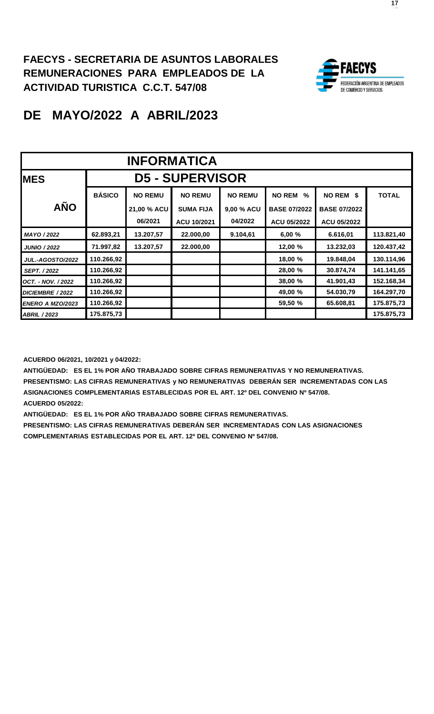

## **DE MAYO/2022 A ABRIL/2023**

|                         | <b>INFORMATICA</b>     |                                    |                  |                |                       |                     |              |  |  |  |
|-------------------------|------------------------|------------------------------------|------------------|----------------|-----------------------|---------------------|--------------|--|--|--|
| <b>MES</b>              | <b>D5 - SUPERVISOR</b> |                                    |                  |                |                       |                     |              |  |  |  |
|                         | <b>BÁSICO</b>          | <b>NO REMU</b>                     | <b>NO REMU</b>   | <b>NO REMU</b> | <b>NO REM</b><br>$\%$ | NO REM \$           | <b>TOTAL</b> |  |  |  |
| <b>AÑO</b>              |                        | 21,00 % ACU                        | <b>SUMA FIJA</b> | 9,00 % ACU     | <b>BASE 07/2022</b>   | <b>BASE 07/2022</b> |              |  |  |  |
|                         |                        | 06/2021                            | ACU 10/2021      | 04/2022        | <b>ACU 05/2022</b>    | <b>ACU 05/2022</b>  |              |  |  |  |
| MAYO / 2022             | 62.893,21              | 13.207,57                          | 22.000,00        | 9.104,61       | 6,00%                 | 6.616,01            | 113.821,40   |  |  |  |
| <b>JUNIO / 2022</b>     | 71.997,82              | 13.207,57                          | 22.000,00        |                | 12,00 %               | 13.232,03           | 120.437,42   |  |  |  |
| <b>JUL.-AGOSTO/2022</b> | 110.266,92             |                                    |                  |                | 18,00 %               | 19.848,04           | 130.114,96   |  |  |  |
| <b>SEPT. / 2022</b>     | 110.266,92             |                                    |                  |                | 28,00 %               | 30.874,74           | 141.141,65   |  |  |  |
| OCT. - NOV. / 2022      | 110.266,92             |                                    |                  |                | 38,00 %               | 41.901,43           | 152.168,34   |  |  |  |
| DICIEMBRE / 2022        | 110.266,92             |                                    |                  |                | 49,00 %               | 54.030,79           | 164.297,70   |  |  |  |
| ENERO A MZO/2023        | 110.266,92             | 59,50 %<br>65.608,81<br>175.875,73 |                  |                |                       |                     |              |  |  |  |
| <b>ABRIL / 2023</b>     | 175.875,73             |                                    |                  |                |                       |                     | 175.875,73   |  |  |  |

**ACUERDO 06/2021, 10/2021 y 04/2022:**

**ANTIGÜEDAD: ES EL 1% POR AÑO TRABAJADO SOBRE CIFRAS REMUNERATIVAS Y NO REMUNERATIVAS. PRESENTISMO: LAS CIFRAS REMUNERATIVAS y NO REMUNERATIVAS DEBERÁN SER INCREMENTADAS CON LAS ASIGNACIONES COMPLEMENTARIAS ESTABLECIDAS POR EL ART. 12º DEL CONVENIO Nº 547/08. ACUERDO 05/2022:**

**ANTIGÜEDAD: ES EL 1% POR AÑO TRABAJADO SOBRE CIFRAS REMUNERATIVAS.**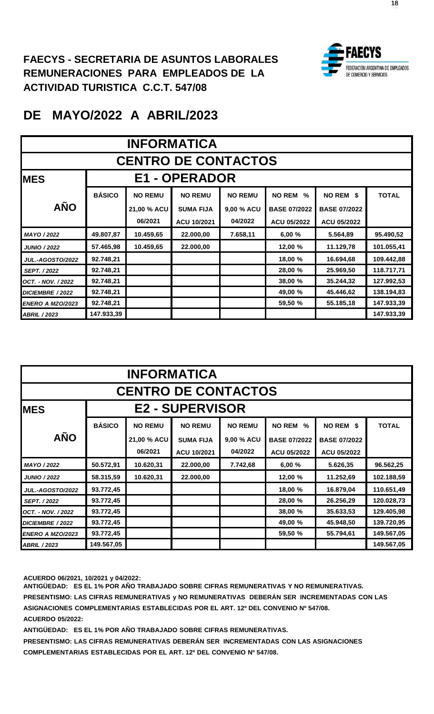

## **DE MAYO/2022 A ABRIL/2023**

|                            | <b>INFORMATICA</b> |                                    |                      |                |                       |                     |              |  |  |  |
|----------------------------|--------------------|------------------------------------|----------------------|----------------|-----------------------|---------------------|--------------|--|--|--|
| <b>CENTRO DE CONTACTOS</b> |                    |                                    |                      |                |                       |                     |              |  |  |  |
| <b>MES</b>                 |                    |                                    | <b>E1 - OPERADOR</b> |                |                       |                     |              |  |  |  |
|                            | <b>BÁSICO</b>      | <b>NO REMU</b>                     | <b>NO REMU</b>       | <b>NO REMU</b> | <b>NO REM</b><br>$\%$ | NO REM \$           | <b>TOTAL</b> |  |  |  |
| <b>AÑO</b>                 |                    | 21,00 % ACU                        | <b>SUMA FIJA</b>     | 9,00 % ACU     | <b>BASE 07/2022</b>   | <b>BASE 07/2022</b> |              |  |  |  |
|                            |                    | 06/2021                            | ACU 10/2021          | 04/2022        | <b>ACU 05/2022</b>    | <b>ACU 05/2022</b>  |              |  |  |  |
| MAYO / 2022                | 49.807,87          | 10.459,65                          | 22.000,00            | 7.658,11       | 6,00%                 | 5.564,89            | 95.490,52    |  |  |  |
| <b>JUNIO / 2022</b>        | 57.465,98          | 10.459,65                          | 22.000,00            |                | 12,00 %               | 11.129,78           | 101.055,41   |  |  |  |
| <b>JUL.-AGOSTO/2022</b>    | 92.748,21          |                                    |                      |                | 18,00 %               | 16.694,68           | 109.442,88   |  |  |  |
| <b>SEPT. / 2022</b>        | 92.748,21          |                                    |                      |                | 28,00 %               | 25.969,50           | 118.717,71   |  |  |  |
| OCT. - NOV. / 2022         | 92.748,21          |                                    |                      |                | 38,00 %               | 35.244,32           | 127.992,53   |  |  |  |
| DICIEMBRE / 2022           | 92.748,21          | 49,00 %<br>45.446,62<br>138.194,83 |                      |                |                       |                     |              |  |  |  |
| ENERO A MZO/2023           | 92.748,21          | 59,50 %<br>55.185,18<br>147.933,39 |                      |                |                       |                     |              |  |  |  |
| <b>ABRIL / 2023</b>        | 147.933,39         |                                    |                      |                |                       |                     | 147.933,39   |  |  |  |

|                         | <b>INFORMATICA</b>         |                                    |                        |                |                     |                     |              |  |  |  |
|-------------------------|----------------------------|------------------------------------|------------------------|----------------|---------------------|---------------------|--------------|--|--|--|
|                         | <b>CENTRO DE CONTACTOS</b> |                                    |                        |                |                     |                     |              |  |  |  |
| <b>MES</b>              |                            |                                    | <b>E2 - SUPERVISOR</b> |                |                     |                     |              |  |  |  |
|                         | <b>BÁSICO</b>              | <b>NO REMU</b>                     | <b>NO REMU</b>         | <b>NO REMU</b> | <b>NO REM</b><br>%  | NO REM \$           | <b>TOTAL</b> |  |  |  |
| <b>AÑO</b>              |                            | 21,00 % ACU                        | <b>SUMA FIJA</b>       | 9,00 % ACU     | <b>BASE 07/2022</b> | <b>BASE 07/2022</b> |              |  |  |  |
|                         |                            | 06/2021                            | ACU 10/2021            | 04/2022        | <b>ACU 05/2022</b>  | ACU 05/2022         |              |  |  |  |
| MAYO / 2022             | 50.572,91                  | 10.620,31                          | 22.000,00              | 7.742,68       | 6,00%               | 5.626,35            | 96.562,25    |  |  |  |
| <b>JUNIO / 2022</b>     | 58.315,59                  | 10.620,31                          | 22.000,00              |                | 12,00 %             | 11.252,69           | 102.188,59   |  |  |  |
| <b>JUL.-AGOSTO/2022</b> | 93.772,45                  |                                    |                        |                | 18,00 %             | 16.879,04           | 110.651,49   |  |  |  |
| <b>SEPT. / 2022</b>     | 93.772,45                  |                                    |                        |                | 28,00 %             | 26.256,29           | 120.028,73   |  |  |  |
| OCT. - NOV. / 2022      | 93.772,45                  |                                    |                        |                | 38,00 %             | 35.633,53           | 129.405.98   |  |  |  |
| DICIEMBRE / 2022        | 93.772,45                  | 49,00 %<br>45.948,50<br>139.720,95 |                        |                |                     |                     |              |  |  |  |
| ENERO A MZO/2023        | 93.772,45                  | 55.794,61<br>59,50 %<br>149.567,05 |                        |                |                     |                     |              |  |  |  |
| <b>ABRIL / 2023</b>     | 149.567,05                 |                                    |                        |                |                     |                     | 149.567,05   |  |  |  |

**ACUERDO 06/2021, 10/2021 y 04/2022:**

**ANTIGÜEDAD: ES EL 1% POR AÑO TRABAJADO SOBRE CIFRAS REMUNERATIVAS Y NO REMUNERATIVAS. PRESENTISMO: LAS CIFRAS REMUNERATIVAS y NO REMUNERATIVAS DEBERÁN SER INCREMENTADAS CON LAS ASIGNACIONES COMPLEMENTARIAS ESTABLECIDAS POR EL ART. 12º DEL CONVENIO Nº 547/08. ACUERDO 05/2022:**

**ANTIGÜEDAD: ES EL 1% POR AÑO TRABAJADO SOBRE CIFRAS REMUNERATIVAS.**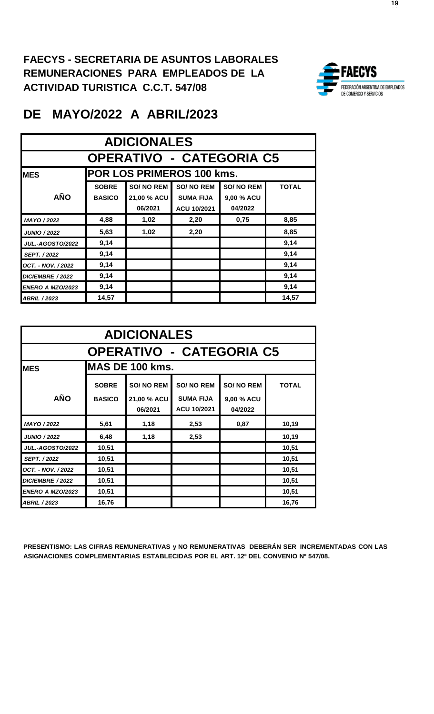

## **DE MAYO/2022 A ABRIL/2023**

|                                          | <b>ADICIONALES</b> |                  |                  |                  |              |  |  |  |  |  |  |
|------------------------------------------|--------------------|------------------|------------------|------------------|--------------|--|--|--|--|--|--|
| <b>OPERATIVO - CATEGORIA C5</b>          |                    |                  |                  |                  |              |  |  |  |  |  |  |
| POR LOS PRIMEROS 100 kms.<br><b>IMES</b> |                    |                  |                  |                  |              |  |  |  |  |  |  |
|                                          | <b>SOBRE</b>       | <b>SO/NO REM</b> | <b>SO/NO REM</b> | <b>SO/NO REM</b> | <b>TOTAL</b> |  |  |  |  |  |  |
| <b>AÑO</b>                               | <b>BASICO</b>      | 21,00 % ACU      | <b>SUMA FIJA</b> | 9,00 % ACU       |              |  |  |  |  |  |  |
|                                          |                    | 06/2021          | ACU 10/2021      | 04/2022          |              |  |  |  |  |  |  |
| MAYO / 2022                              | 4,88               | 1,02             | 2,20             | 0,75             | 8,85         |  |  |  |  |  |  |
| <b>JUNIO / 2022</b>                      | 5,63               | 1,02             | 2,20             |                  | 8,85         |  |  |  |  |  |  |
| <b>JUL.-AGOSTO/2022</b>                  | 9,14               |                  |                  |                  | 9,14         |  |  |  |  |  |  |
| <b>SEPT. / 2022</b>                      | 9,14               |                  |                  |                  | 9,14         |  |  |  |  |  |  |
| OCT. - NOV. / 2022                       | 9,14               |                  |                  |                  | 9,14         |  |  |  |  |  |  |
| 9,14<br>9,14<br>DICIEMBRE / 2022         |                    |                  |                  |                  |              |  |  |  |  |  |  |
| <b>ENERO A MZO/2023</b>                  | 9,14               |                  |                  |                  | 9,14         |  |  |  |  |  |  |
| <b>ABRIL / 2023</b>                      | 14,57              |                  |                  |                  | 14,57        |  |  |  |  |  |  |

|                                       | <b>ADICIONALES</b> |                        |                                 |                       |              |  |  |  |  |  |
|---------------------------------------|--------------------|------------------------|---------------------------------|-----------------------|--------------|--|--|--|--|--|
| <b>OPERATIVO - CATEGORIA C5</b>       |                    |                        |                                 |                       |              |  |  |  |  |  |
| <b>IMAS DE 100 kms.</b><br><b>MES</b> |                    |                        |                                 |                       |              |  |  |  |  |  |
|                                       | <b>SOBRE</b>       | <b>SO/NO REM</b>       | <b>SO/NO REM</b>                | <b>SO/NO REM</b>      | <b>TOTAL</b> |  |  |  |  |  |
| <b>AÑO</b>                            | <b>BASICO</b>      | 21,00 % ACU<br>06/2021 | <b>SUMA FIJA</b><br>ACU 10/2021 | 9,00 % ACU<br>04/2022 |              |  |  |  |  |  |
| MAYO / 2022                           | 5,61               | 1,18                   | 2,53                            | 0,87                  | 10,19        |  |  |  |  |  |
| <b>JUNIO / 2022</b>                   | 6,48               | 1,18                   | 2,53                            |                       | 10,19        |  |  |  |  |  |
| <b>JUL.-AGOSTO/2022</b>               | 10,51              |                        |                                 |                       | 10,51        |  |  |  |  |  |
| <b>SEPT. / 2022</b>                   | 10,51              |                        |                                 |                       | 10,51        |  |  |  |  |  |
| OCT. - NOV. / 2022                    | 10,51              |                        |                                 |                       | 10,51        |  |  |  |  |  |
| DICIEMBRE / 2022                      | 10,51              |                        |                                 |                       | 10,51        |  |  |  |  |  |
| <b>ENERO A MZO/2023</b>               | 10,51              |                        |                                 |                       | 10,51        |  |  |  |  |  |
| <b>ABRIL / 2023</b>                   | 16,76              |                        |                                 |                       | 16,76        |  |  |  |  |  |